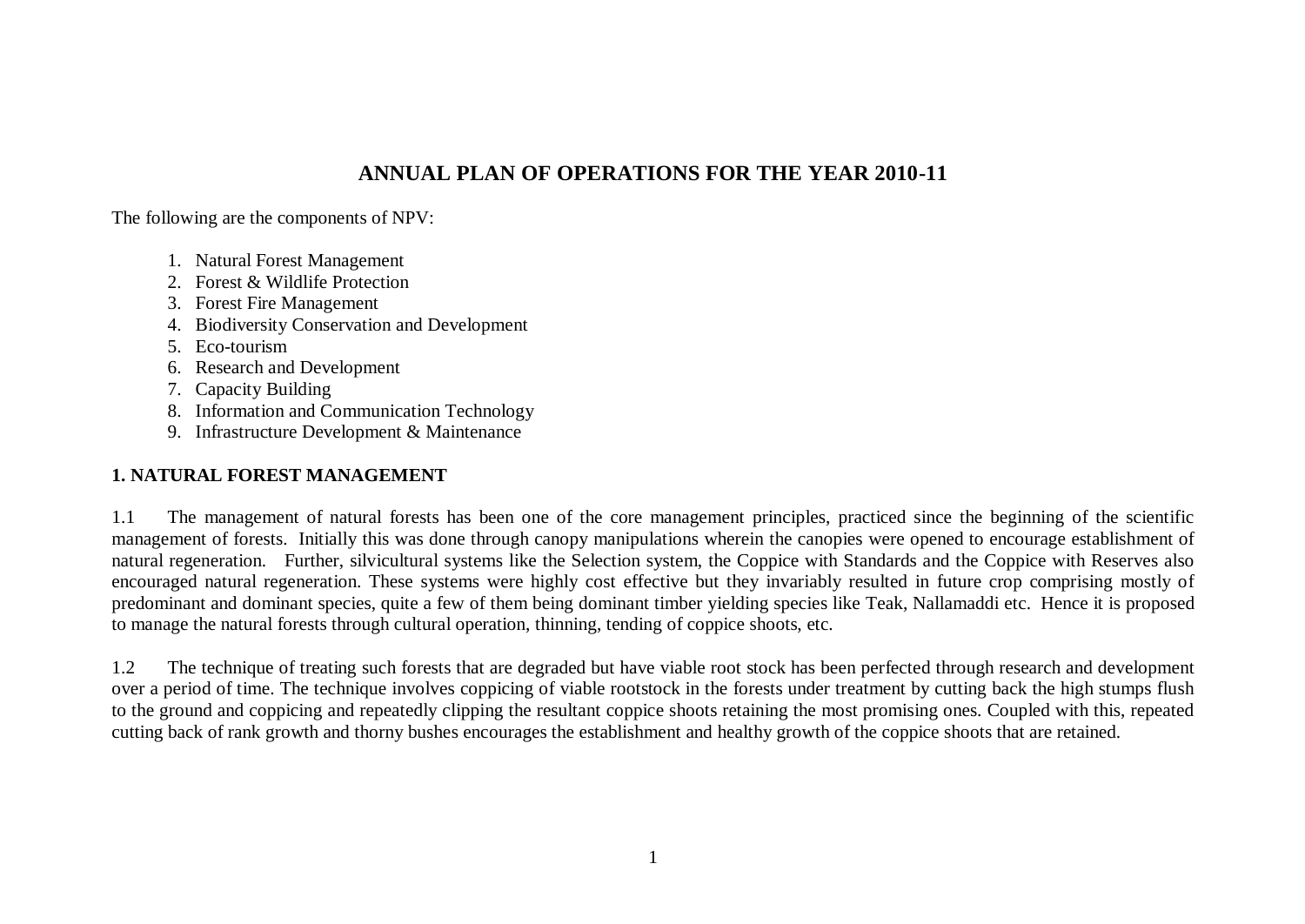## **ANNUAL PLAN OF OPERATIONS FOR THE YEAR 2010-11**

The following are the components of NPV:

- 1. Natural Forest Management
- 2. Forest & Wildlife Protection
- 3. Forest Fire Management
- 4. Biodiversity Conservation and Development
- 5. Eco-tourism
- 6. Research and Development
- 7. Capacity Building
- 8. Information and Communication Technology
- 9. Infrastructure Development & Maintenance

## **1. NATURAL FOREST MANAGEMENT**

1.1 The management of natural forests has been one of the core management principles, practiced since the beginning of the scientific management of forests. Initially this was done through canopy manipulations wherein the canopies were opened to encourage establishment of natural regeneration. Further, silvicultural systems like the Selection system, the Coppice with Standards and the Coppice with Reserves also encouraged natural regeneration. These systems were highly cost effective but they invariably resulted in future crop comprising mostly of predominant and dominant species, quite a few of them being dominant timber yielding species like Teak, Nallamaddi etc. Hence it is proposed to manage the natural forests through cultural operation, thinning, tending of coppice shoots, etc.

1.2 The technique of treating such forests that are degraded but have viable root stock has been perfected through research and development over a period of time. The technique involves coppicing of viable rootstock in the forests under treatment by cutting back the high stumps flush to the ground and coppicing and repeatedly clipping the resultant coppice shoots retaining the most promising ones. Coupled with this, repeated cutting back of rank growth and thorny bushes encourages the establishment and healthy growth of the coppice shoots that are retained.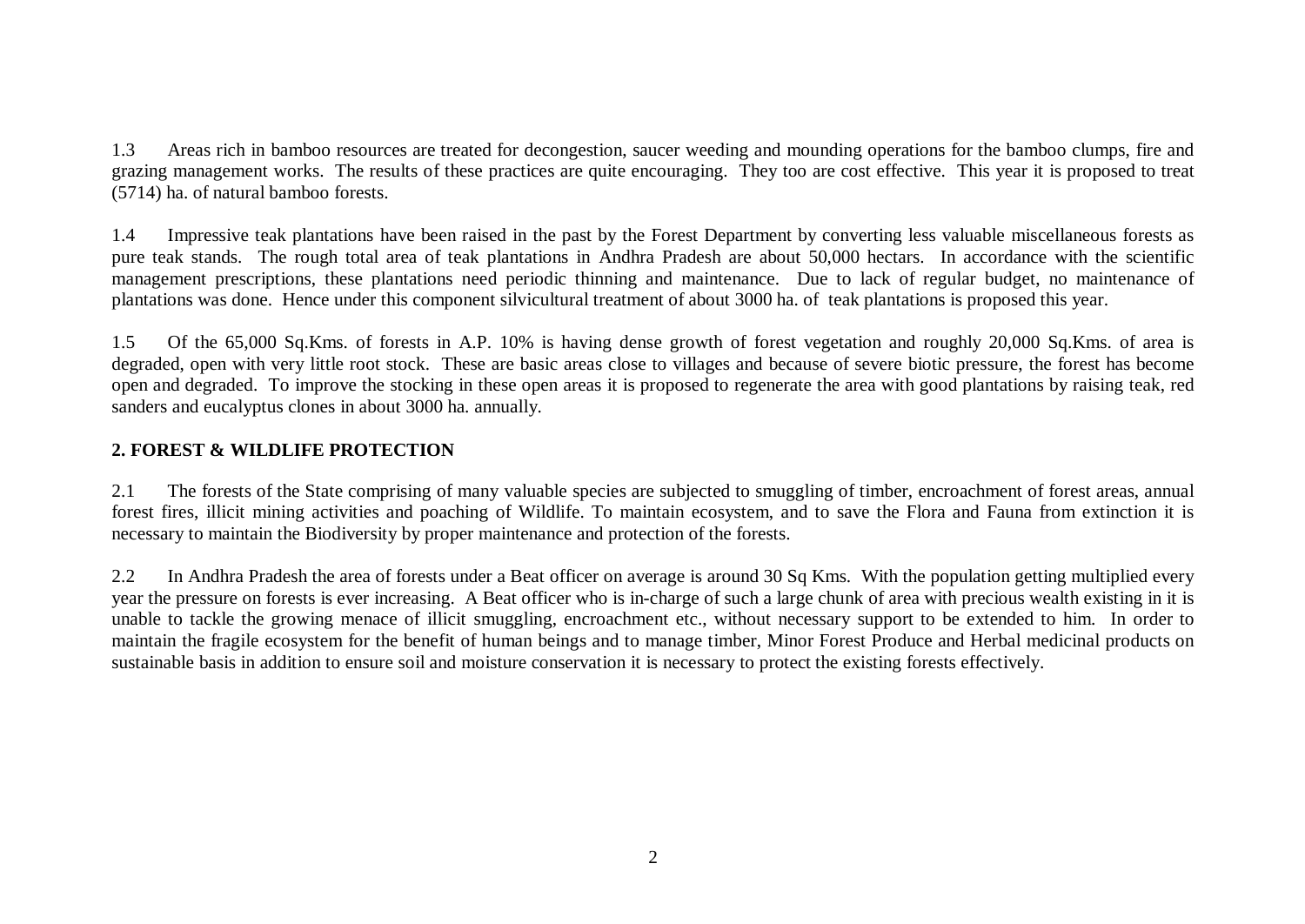1.3 Areas rich in bamboo resources are treated for decongestion, saucer weeding and mounding operations for the bamboo clumps, fire and grazing management works. The results of these practices are quite encouraging. They too are cost effective. This year it is proposed to treat (5714) ha. of natural bamboo forests.

1.4 Impressive teak plantations have been raised in the past by the Forest Department by converting less valuable miscellaneous forests as pure teak stands. The rough total area of teak plantations in Andhra Pradesh are about 50,000 hectars. In accordance with the scientific management prescriptions, these plantations need periodic thinning and maintenance. Due to lack of regular budget, no maintenance of plantations was done. Hence under this component silvicultural treatment of about 3000 ha. of teak plantations is proposed this year.

1.5 Of the 65,000 Sq.Kms. of forests in A.P. 10% is having dense growth of forest vegetation and roughly 20,000 Sq.Kms. of area is degraded, open with very little root stock. These are basic areas close to villages and because of severe biotic pressure, the forest has become open and degraded. To improve the stocking in these open areas it is proposed to regenerate the area with good plantations by raising teak, red sanders and eucalyptus clones in about 3000 ha. annually.

### **2. FOREST & WILDLIFE PROTECTION**

2.1 The forests of the State comprising of many valuable species are subjected to smuggling of timber, encroachment of forest areas, annual forest fires, illicit mining activities and poaching of Wildlife. To maintain ecosystem, and to save the Flora and Fauna from extinction it is necessary to maintain the Biodiversity by proper maintenance and protection of the forests.

2.2 In Andhra Pradesh the area of forests under a Beat officer on average is around 30 Sq Kms. With the population getting multiplied every year the pressure on forests is ever increasing. A Beat officer who is in-charge of such a large chunk of area with precious wealth existing in it is unable to tackle the growing menace of illicit smuggling, encroachment etc., without necessary support to be extended to him. In order to maintain the fragile ecosystem for the benefit of human beings and to manage timber, Minor Forest Produce and Herbal medicinal products on sustainable basis in addition to ensure soil and moisture conservation it is necessary to protect the existing forests effectively.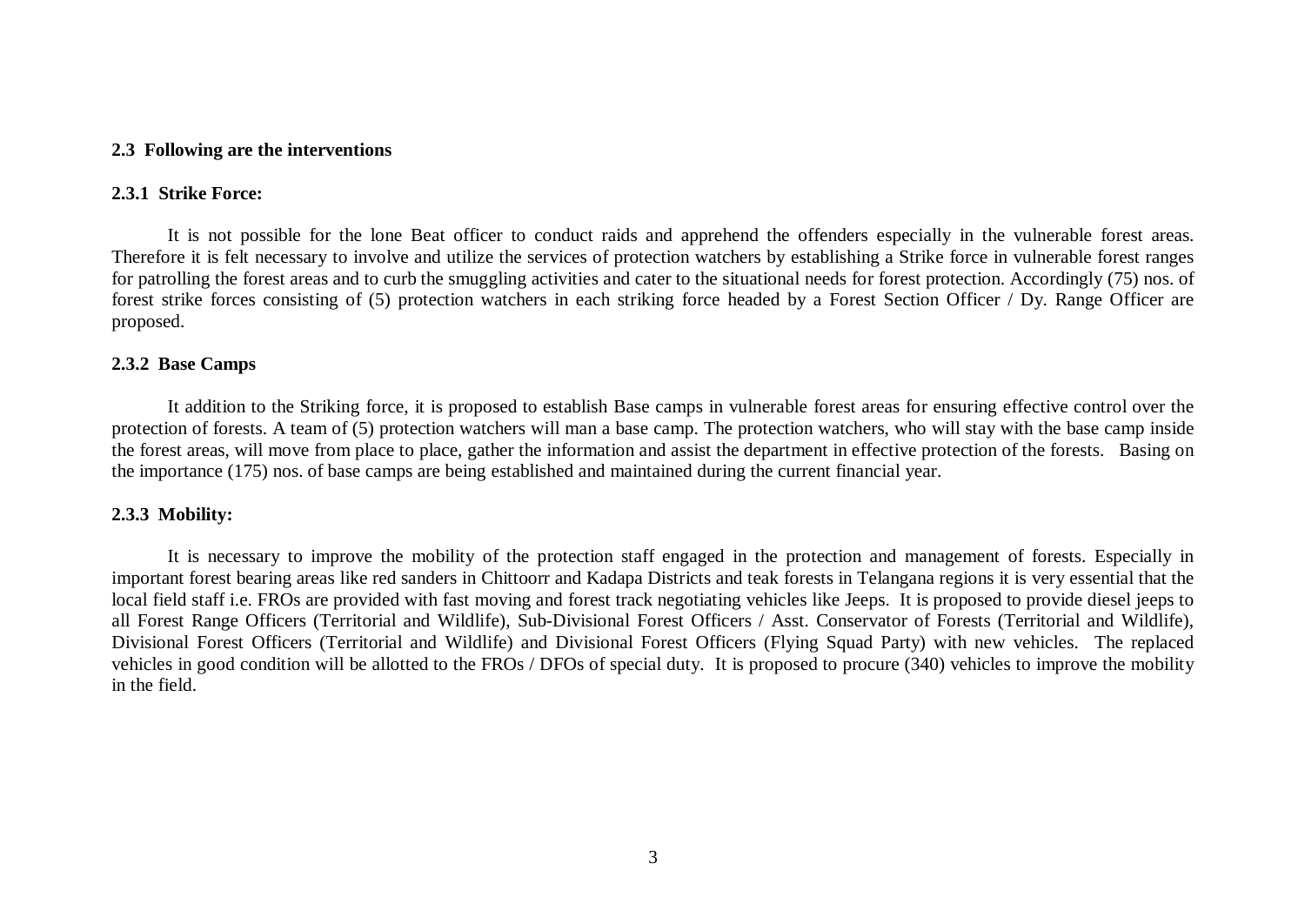#### **2.3 Following are the interventions**

#### **2.3.1 Strike Force:**

It is not possible for the lone Beat officer to conduct raids and apprehend the offenders especially in the vulnerable forest areas. Therefore it is felt necessary to involve and utilize the services of protection watchers by establishing a Strike force in vulnerable forest ranges for patrolling the forest areas and to curb the smuggling activities and cater to the situational needs for forest protection. Accordingly (75) nos. of forest strike forces consisting of (5) protection watchers in each striking force headed by a Forest Section Officer / Dy. Range Officer are proposed.

#### **2.3.2 Base Camps**

It addition to the Striking force, it is proposed to establish Base camps in vulnerable forest areas for ensuring effective control over the protection of forests. A team of (5) protection watchers will man a base camp. The protection watchers, who will stay with the base camp inside the forest areas, will move from place to place, gather the information and assist the department in effective protection of the forests. Basing on the importance (175) nos. of base camps are being established and maintained during the current financial year.

#### **2.3.3 Mobility:**

It is necessary to improve the mobility of the protection staff engaged in the protection and management of forests. Especially in important forest bearing areas like red sanders in Chittoorr and Kadapa Districts and teak forests in Telangana regions it is very essential that the local field staff i.e. FROs are provided with fast moving and forest track negotiating vehicles like Jeeps. It is proposed to provide diesel jeeps to all Forest Range Officers (Territorial and Wildlife), Sub-Divisional Forest Officers / Asst. Conservator of Forests (Territorial and Wildlife), Divisional Forest Officers (Territorial and Wildlife) and Divisional Forest Officers (Flying Squad Party) with new vehicles. The replaced vehicles in good condition will be allotted to the FROs / DFOs of special duty. It is proposed to procure (340) vehicles to improve the mobility in the field.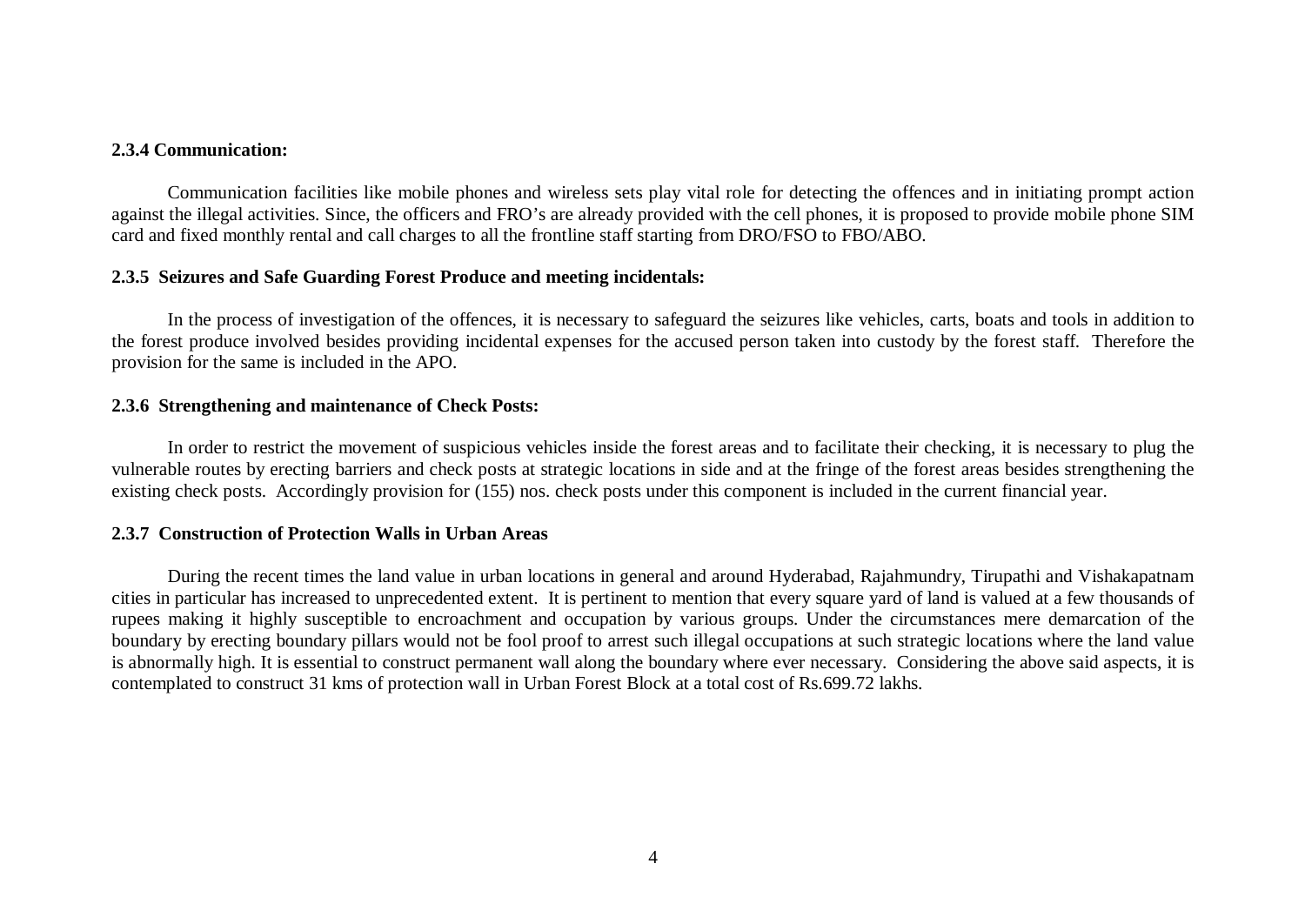#### **2.3.4 Communication:**

Communication facilities like mobile phones and wireless sets play vital role for detecting the offences and in initiating prompt action against the illegal activities. Since, the officers and FRO's are already provided with the cell phones, it is proposed to provide mobile phone SIM card and fixed monthly rental and call charges to all the frontline staff starting from DRO/FSO to FBO/ABO.

#### **2.3.5 Seizures and Safe Guarding Forest Produce and meeting incidentals:**

In the process of investigation of the offences, it is necessary to safeguard the seizures like vehicles, carts, boats and tools in addition to the forest produce involved besides providing incidental expenses for the accused person taken into custody by the forest staff. Therefore the provision for the same is included in the APO.

#### **2.3.6 Strengthening and maintenance of Check Posts:**

In order to restrict the movement of suspicious vehicles inside the forest areas and to facilitate their checking, it is necessary to plug the vulnerable routes by erecting barriers and check posts at strategic locations in side and at the fringe of the forest areas besides strengthening the existing check posts. Accordingly provision for (155) nos. check posts under this component is included in the current financial year.

#### **2.3.7 Construction of Protection Walls in Urban Areas**

During the recent times the land value in urban locations in general and around Hyderabad, Rajahmundry, Tirupathi and Vishakapatnam cities in particular has increased to unprecedented extent. It is pertinent to mention that every square yard of land is valued at a few thousands of rupees making it highly susceptible to encroachment and occupation by various groups. Under the circumstances mere demarcation of the boundary by erecting boundary pillars would not be fool proof to arrest such illegal occupations at such strategic locations where the land value is abnormally high. It is essential to construct permanent wall along the boundary where ever necessary. Considering the above said aspects, it is contemplated to construct 31 kms of protection wall in Urban Forest Block at a total cost of Rs.699.72 lakhs.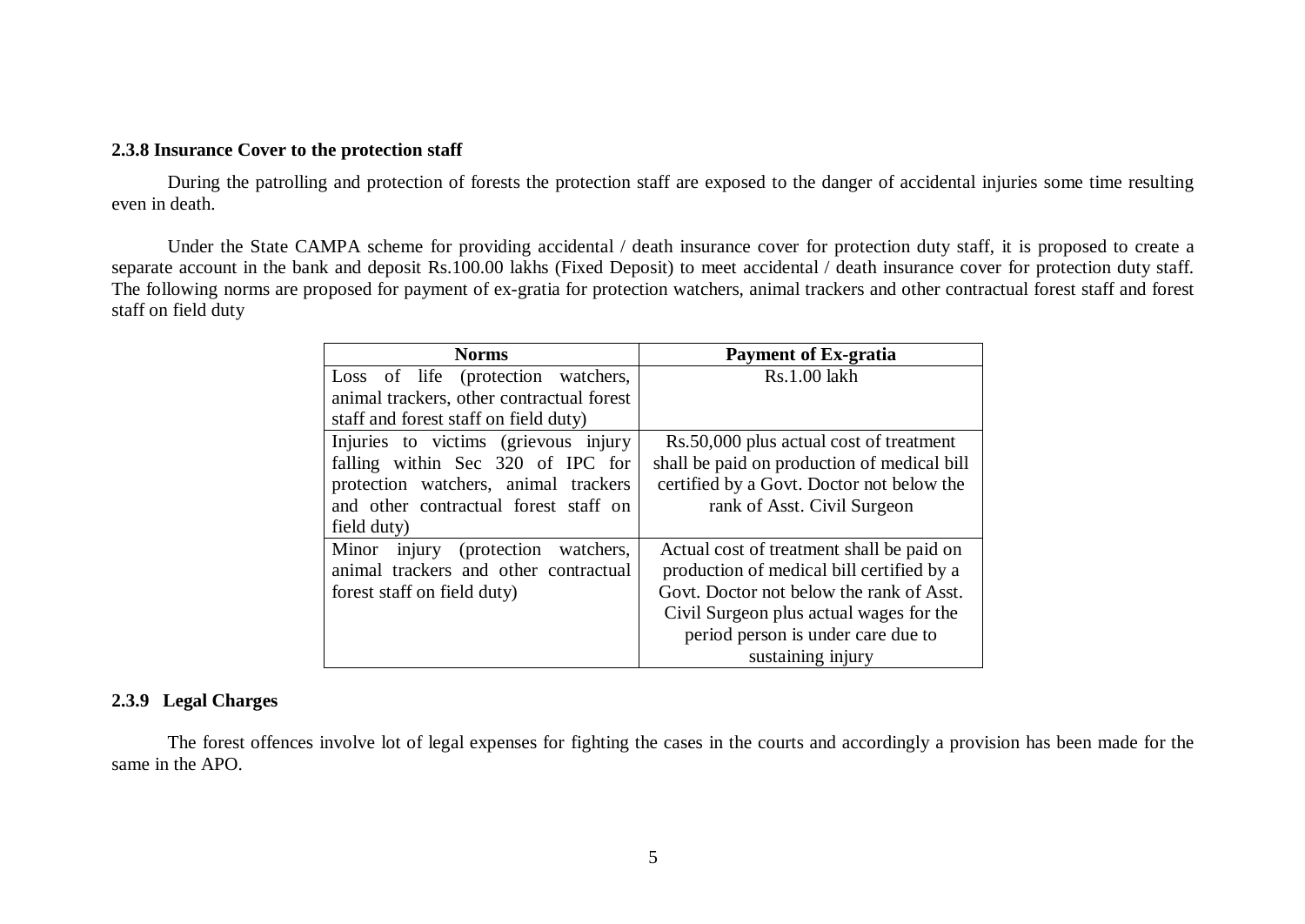#### **2.3.8 Insurance Cover to the protection staff**

During the patrolling and protection of forests the protection staff are exposed to the danger of accidental injuries some time resulting even in death.

Under the State CAMPA scheme for providing accidental / death insurance cover for protection duty staff, it is proposed to create a separate account in the bank and deposit Rs.100.00 lakhs (Fixed Deposit) to meet accidental / death insurance cover for protection duty staff. The following norms are proposed for payment of ex-gratia for protection watchers, animal trackers and other contractual forest staff and forest staff on field duty

| <b>Norms</b>                              | <b>Payment of Ex-gratia</b>                 |
|-------------------------------------------|---------------------------------------------|
| Loss of life (protection watchers,        | Rs.1.00 lakh                                |
| animal trackers, other contractual forest |                                             |
| staff and forest staff on field duty)     |                                             |
| Injuries to victims (grievous injury      | Rs.50,000 plus actual cost of treatment     |
| falling within Sec 320 of IPC for         | shall be paid on production of medical bill |
| protection watchers, animal trackers      | certified by a Govt. Doctor not below the   |
| and other contractual forest staff on     | rank of Asst. Civil Surgeon                 |
| field duty)                               |                                             |
| injury (protection<br>Minor<br>watchers,  | Actual cost of treatment shall be paid on   |
| animal trackers and other contractual     | production of medical bill certified by a   |
| forest staff on field duty)               | Govt. Doctor not below the rank of Asst.    |
|                                           | Civil Surgeon plus actual wages for the     |
|                                           | period person is under care due to          |
|                                           | sustaining injury                           |

#### **2.3.9 Legal Charges**

The forest offences involve lot of legal expenses for fighting the cases in the courts and accordingly a provision has been made for the same in the APO.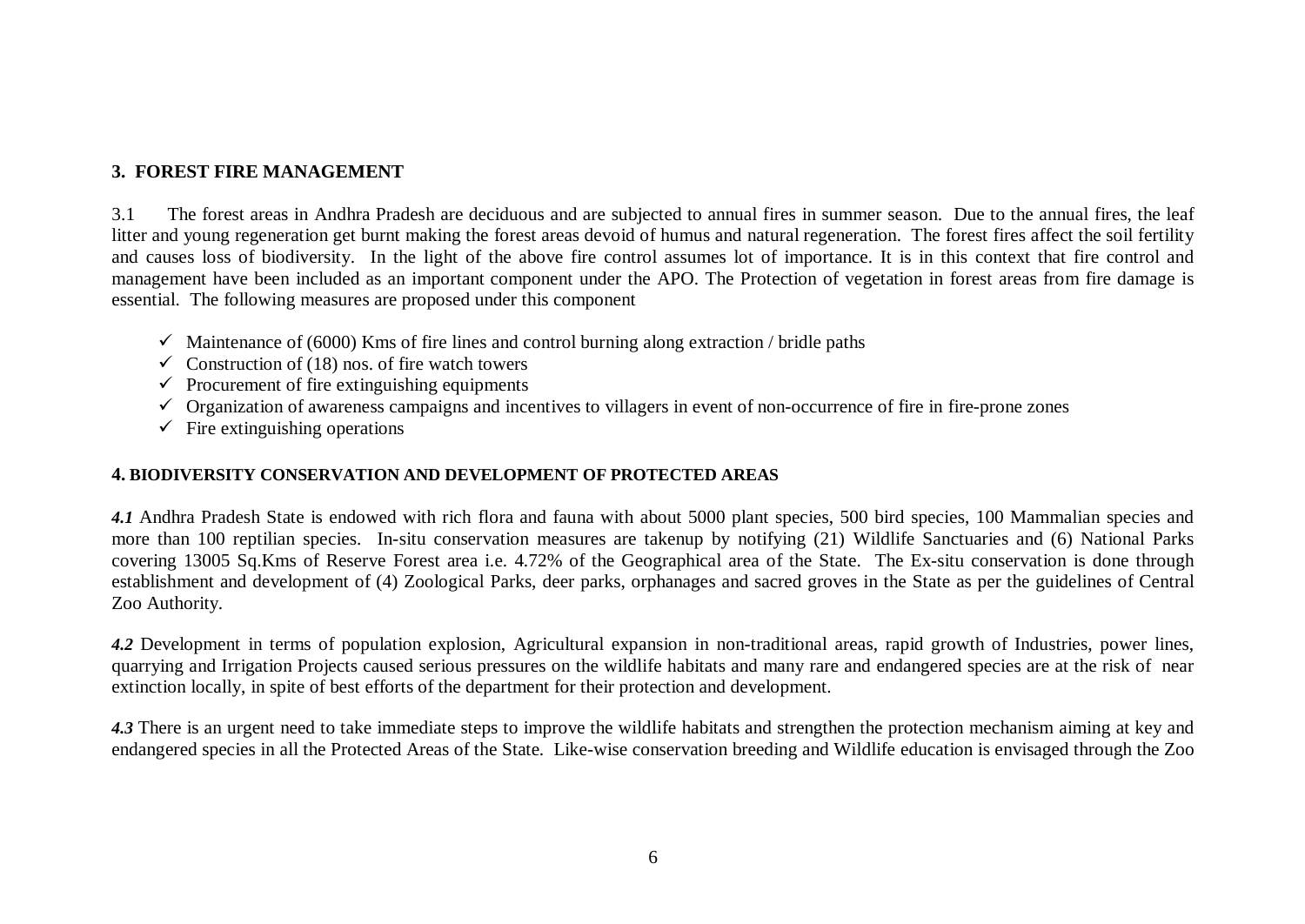### **3. FOREST FIRE MANAGEMENT**

3.1 The forest areas in Andhra Pradesh are deciduous and are subjected to annual fires in summer season. Due to the annual fires, the leaf litter and young regeneration get burnt making the forest areas devoid of humus and natural regeneration. The forest fires affect the soil fertility and causes loss of biodiversity. In the light of the above fire control assumes lot of importance. It is in this context that fire control and management have been included as an important component under the APO. The Protection of vegetation in forest areas from fire damage is essential. The following measures are proposed under this component

- $\checkmark$  Maintenance of (6000) Kms of fire lines and control burning along extraction / bridle paths
- $\checkmark$  Construction of (18) nos. of fire watch towers
- $\checkmark$  Procurement of fire extinguishing equipments
- $\checkmark$  Organization of awareness campaigns and incentives to villagers in event of non-occurrence of fire in fire-prone zones
- $\checkmark$  Fire extinguishing operations

### **4. BIODIVERSITY CONSERVATION AND DEVELOPMENT OF PROTECTED AREAS**

*4.1* Andhra Pradesh State is endowed with rich flora and fauna with about 5000 plant species, 500 bird species, 100 Mammalian species and more than 100 reptilian species. In-situ conservation measures are takenup by notifying (21) Wildlife Sanctuaries and (6) National Parks covering 13005 Sq.Kms of Reserve Forest area i.e. 4.72% of the Geographical area of the State. The Ex-situ conservation is done through establishment and development of (4) Zoological Parks, deer parks, orphanages and sacred groves in the State as per the guidelines of Central Zoo Authority.

*4.2* Development in terms of population explosion, Agricultural expansion in non-traditional areas, rapid growth of Industries, power lines, quarrying and Irrigation Projects caused serious pressures on the wildlife habitats and many rare and endangered species are at the risk of near extinction locally, in spite of best efforts of the department for their protection and development.

*4.3* There is an urgent need to take immediate steps to improve the wildlife habitats and strengthen the protection mechanism aiming at key and endangered species in all the Protected Areas of the State. Like-wise conservation breeding and Wildlife education is envisaged through the Zoo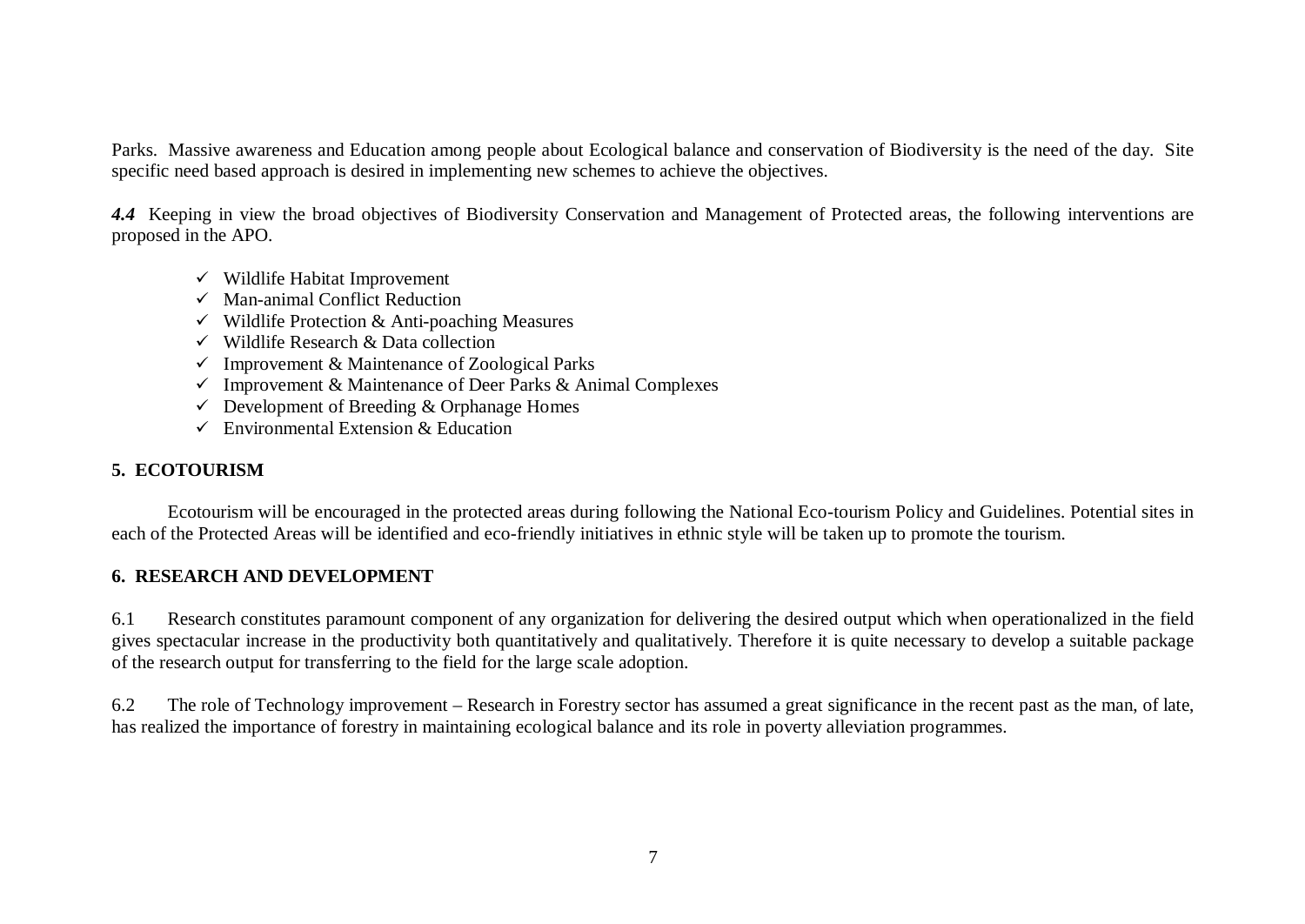Parks. Massive awareness and Education among people about Ecological balance and conservation of Biodiversity is the need of the day. Site specific need based approach is desired in implementing new schemes to achieve the objectives.

*4.4* Keeping in view the broad objectives of Biodiversity Conservation and Management of Protected areas, the following interventions are proposed in the APO.

- $\checkmark$  Wildlife Habitat Improvement
- $\checkmark$  Man-animal Conflict Reduction
- $\checkmark$  Wildlife Protection & Anti-poaching Measures
- $\checkmark$  Wildlife Research & Data collection
- $\checkmark$  Improvement & Maintenance of Zoological Parks
- $\checkmark$  Improvement & Maintenance of Deer Parks & Animal Complexes
- $\checkmark$  Development of Breeding & Orphanage Homes
- $\checkmark$  Environmental Extension & Education

## **5. ECOTOURISM**

Ecotourism will be encouraged in the protected areas during following the National Eco-tourism Policy and Guidelines. Potential sites in each of the Protected Areas will be identified and eco-friendly initiatives in ethnic style will be taken up to promote the tourism.

## **6. RESEARCH AND DEVELOPMENT**

6.1 Research constitutes paramount component of any organization for delivering the desired output which when operationalized in the field gives spectacular increase in the productivity both quantitatively and qualitatively. Therefore it is quite necessary to develop a suitable package of the research output for transferring to the field for the large scale adoption.

6.2 The role of Technology improvement – Research in Forestry sector has assumed a great significance in the recent past as the man, of late, has realized the importance of forestry in maintaining ecological balance and its role in poverty alleviation programmes.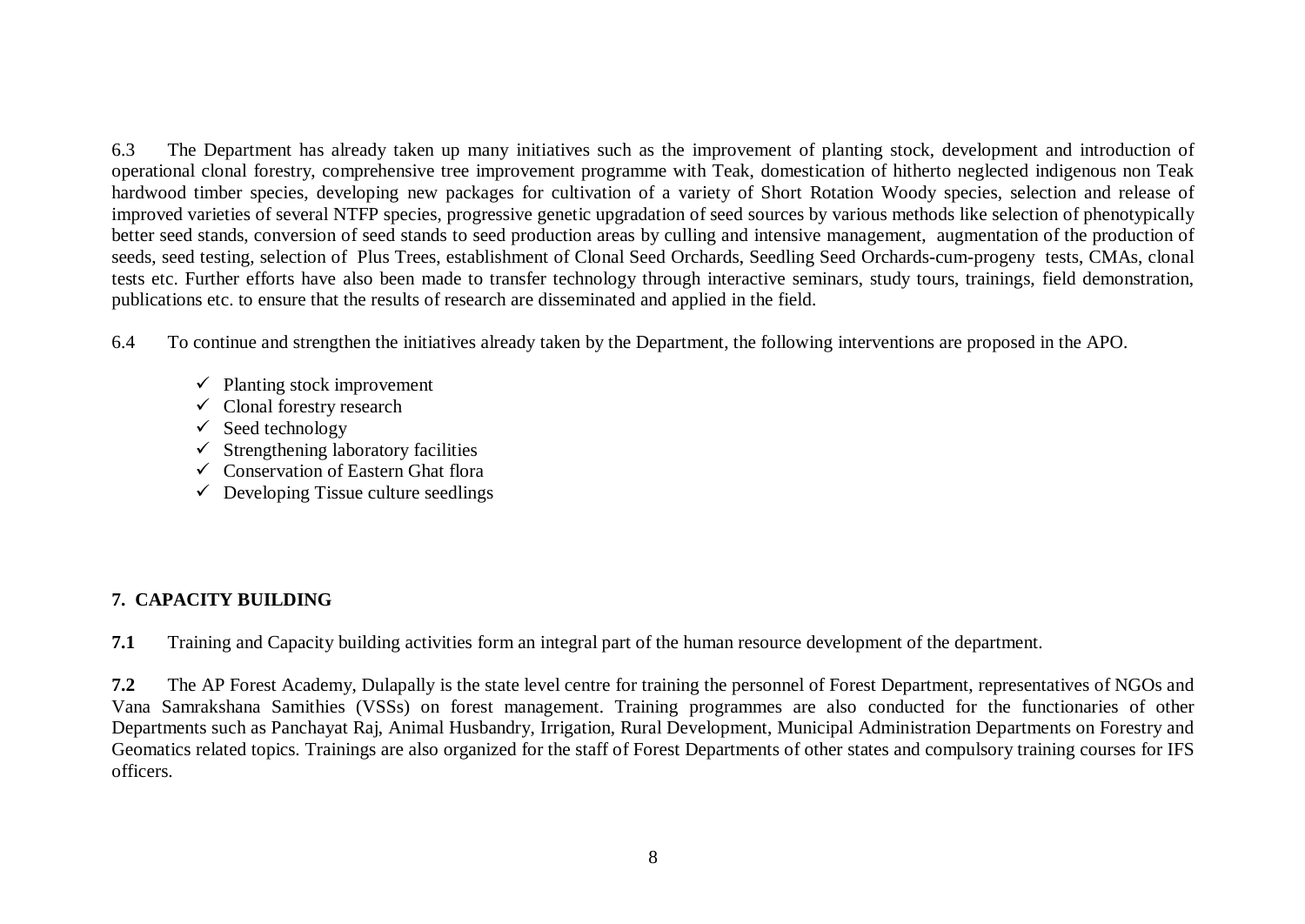6.3 The Department has already taken up many initiatives such as the improvement of planting stock, development and introduction of operational clonal forestry, comprehensive tree improvement programme with Teak, domestication of hitherto neglected indigenous non Teak hardwood timber species, developing new packages for cultivation of a variety of Short Rotation Woody species, selection and release of improved varieties of several NTFP species, progressive genetic upgradation of seed sources by various methods like selection of phenotypically better seed stands, conversion of seed stands to seed production areas by culling and intensive management, augmentation of the production of seeds, seed testing, selection of Plus Trees, establishment of Clonal Seed Orchards, Seedling Seed Orchards-cum-progeny tests, CMAs, clonal tests etc. Further efforts have also been made to transfer technology through interactive seminars, study tours, trainings, field demonstration, publications etc. to ensure that the results of research are disseminated and applied in the field.

6.4 To continue and strengthen the initiatives already taken by the Department, the following interventions are proposed in the APO.

- $\checkmark$  Planting stock improvement
- $\checkmark$  Clonal forestry research
- $\checkmark$  Seed technology
- $\checkmark$  Strengthening laboratory facilities
- $\checkmark$  Conservation of Eastern Ghat flora
- $\checkmark$  Developing Tissue culture seedlings

## **7. CAPACITY BUILDING**

**7.1** Training and Capacity building activities form an integral part of the human resource development of the department.

**7.2** The AP Forest Academy, Dulapally is the state level centre for training the personnel of Forest Department, representatives of NGOs and Vana Samrakshana Samithies (VSSs) on forest management. Training programmes are also conducted for the functionaries of other Departments such as Panchayat Raj, Animal Husbandry, Irrigation, Rural Development, Municipal Administration Departments on Forestry and Geomatics related topics. Trainings are also organized for the staff of Forest Departments of other states and compulsory training courses for IFS officers.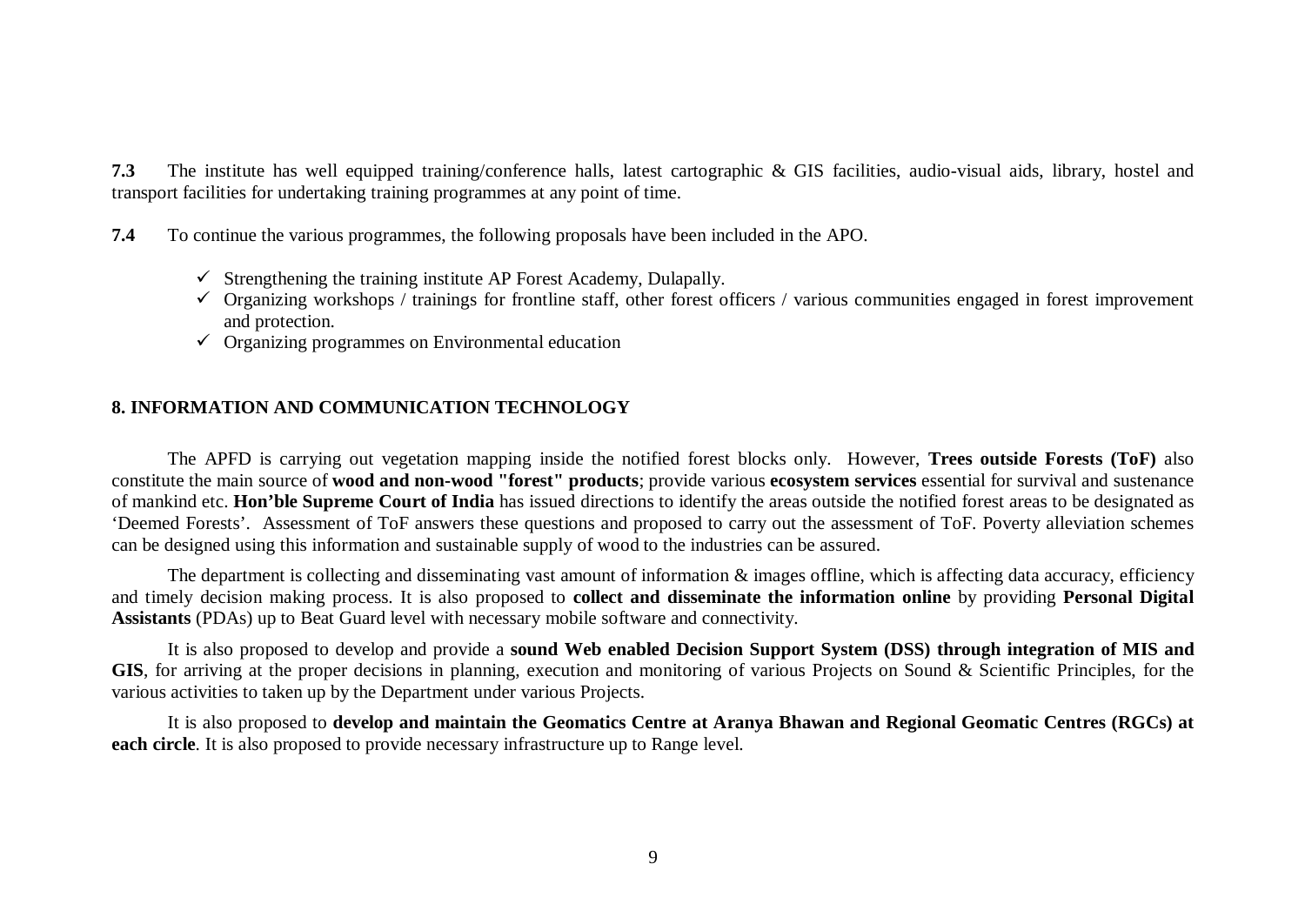**7.3** The institute has well equipped training/conference halls, latest cartographic & GIS facilities, audio-visual aids, library, hostel and transport facilities for undertaking training programmes at any point of time.

**7.4** To continue the various programmes, the following proposals have been included in the APO.

- $\checkmark$  Strengthening the training institute AP Forest Academy, Dulapally.
- $\checkmark$  Organizing workshops / trainings for frontline staff, other forest officers / various communities engaged in forest improvement and protection.
- $\checkmark$  Organizing programmes on Environmental education

### **8. INFORMATION AND COMMUNICATION TECHNOLOGY**

The APFD is carrying out vegetation mapping inside the notified forest blocks only. However, **Trees outside Forests (ToF)** also constitute the main source of **wood and non-wood "forest" products**; provide various **ecosystem services** essential for survival and sustenance of mankind etc. **Hon'ble Supreme Court of India** has issued directions to identify the areas outside the notified forest areas to be designated as 'Deemed Forests'. Assessment of ToF answers these questions and proposed to carry out the assessment of ToF. Poverty alleviation schemes can be designed using this information and sustainable supply of wood to the industries can be assured.

The department is collecting and disseminating vast amount of information  $\&$  images offline, which is affecting data accuracy, efficiency and timely decision making process. It is also proposed to **collect and disseminate the information online** by providing **Personal Digital Assistants** (PDAs) up to Beat Guard level with necessary mobile software and connectivity.

It is also proposed to develop and provide a **sound Web enabled Decision Support System (DSS) through integration of MIS and GIS**, for arriving at the proper decisions in planning, execution and monitoring of various Projects on Sound & Scientific Principles, for the various activities to taken up by the Department under various Projects.

It is also proposed to **develop and maintain the Geomatics Centre at Aranya Bhawan and Regional Geomatic Centres (RGCs) at each circle**. It is also proposed to provide necessary infrastructure up to Range level.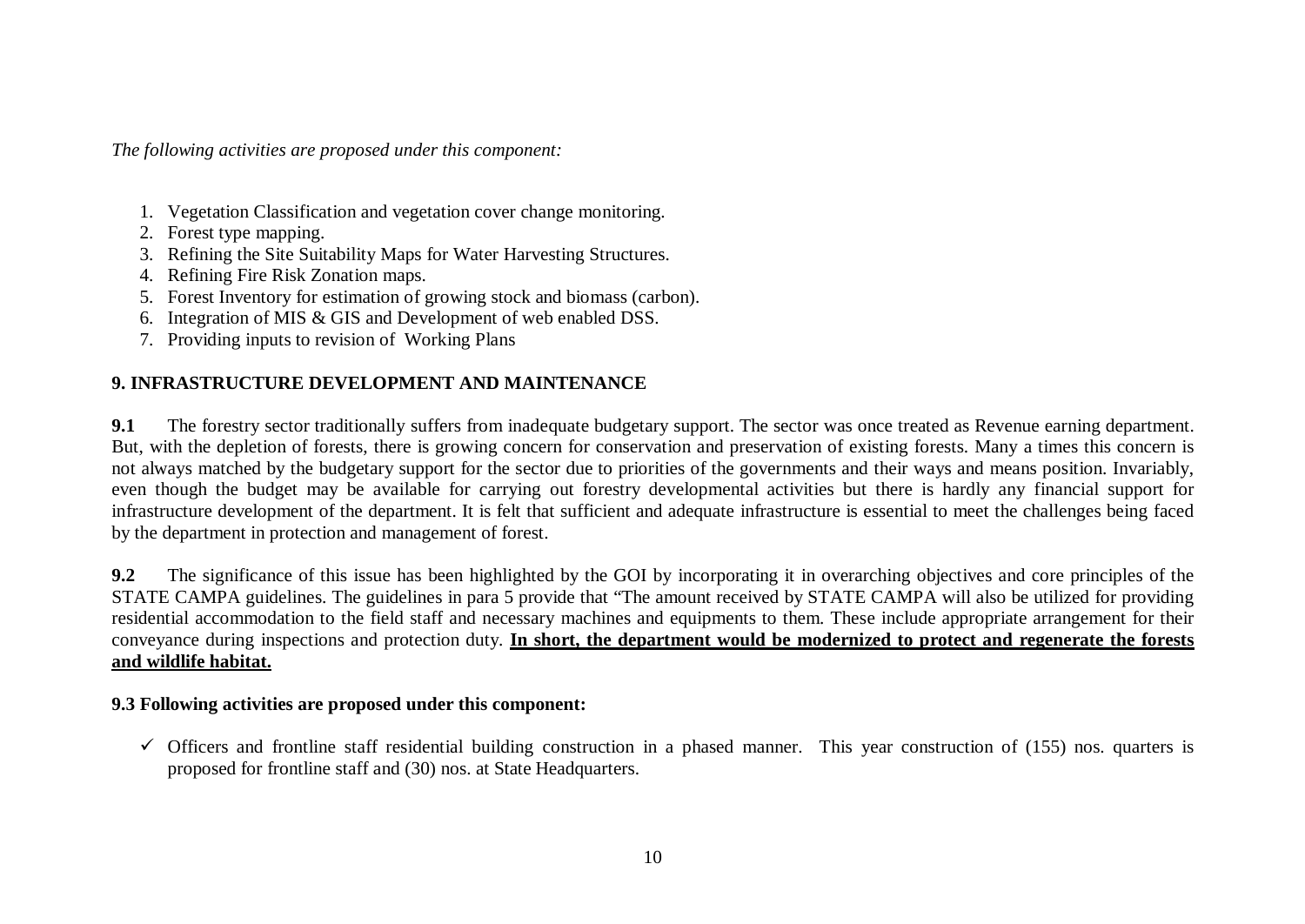*The following activities are proposed under this component:*

- 1. Vegetation Classification and vegetation cover change monitoring.
- 2. Forest type mapping.
- 3. Refining the Site Suitability Maps for Water Harvesting Structures.
- 4. Refining Fire Risk Zonation maps.
- 5. Forest Inventory for estimation of growing stock and biomass (carbon).
- 6. Integration of MIS & GIS and Development of web enabled DSS.
- 7. Providing inputs to revision of Working Plans

## **9. INFRASTRUCTURE DEVELOPMENT AND MAINTENANCE**

**9.1** The forestry sector traditionally suffers from inadequate budgetary support. The sector was once treated as Revenue earning department. But, with the depletion of forests, there is growing concern for conservation and preservation of existing forests. Many a times this concern is not always matched by the budgetary support for the sector due to priorities of the governments and their ways and means position. Invariably, even though the budget may be available for carrying out forestry developmental activities but there is hardly any financial support for infrastructure development of the department. It is felt that sufficient and adequate infrastructure is essential to meet the challenges being faced by the department in protection and management of forest.

**9.2** The significance of this issue has been highlighted by the GOI by incorporating it in overarching objectives and core principles of the STATE CAMPA guidelines. The guidelines in para 5 provide that "The amount received by STATE CAMPA will also be utilized for providing residential accommodation to the field staff and necessary machines and equipments to them. These include appropriate arrangement for their conveyance during inspections and protection duty. **In short, the department would be modernized to protect and regenerate the forests and wildlife habitat.**

### **9.3 Following activities are proposed under this component:**

 $\checkmark$  Officers and frontline staff residential building construction in a phased manner. This year construction of (155) nos. quarters is proposed for frontline staff and (30) nos. at State Headquarters.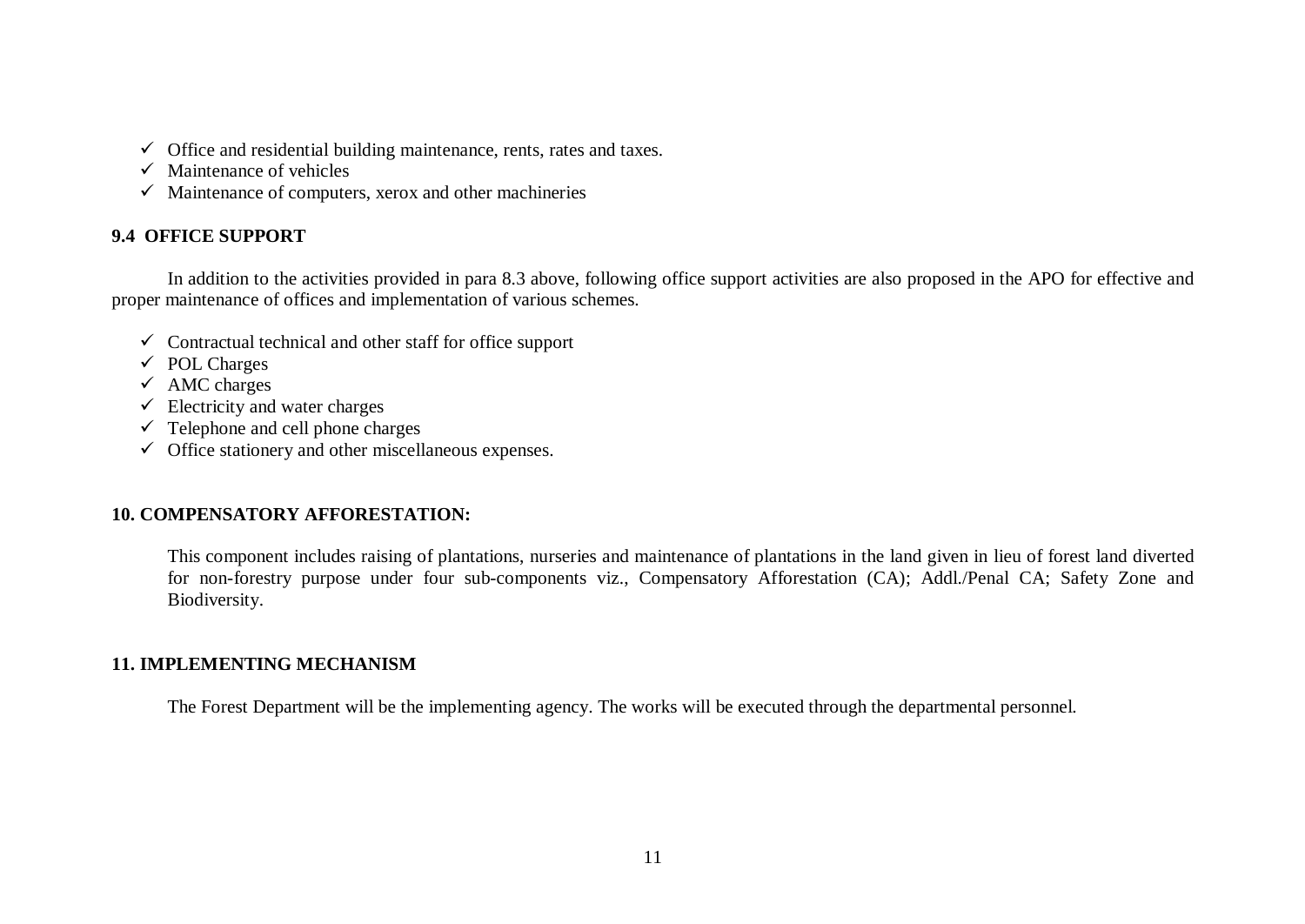- $\checkmark$  Office and residential building maintenance, rents, rates and taxes.
- $\checkmark$  Maintenance of vehicles
- $\checkmark$  Maintenance of computers, xerox and other machineries

## **9.4 OFFICE SUPPORT**

In addition to the activities provided in para 8.3 above, following office support activities are also proposed in the APO for effective and proper maintenance of offices and implementation of various schemes.

- $\checkmark$  Contractual technical and other staff for office support
- $\checkmark$  POL Charges
- $\checkmark$  AMC charges
- $\checkmark$  Electricity and water charges
- $\checkmark$  Telephone and cell phone charges
- $\checkmark$  Office stationery and other miscellaneous expenses.

## **10. COMPENSATORY AFFORESTATION:**

This component includes raising of plantations, nurseries and maintenance of plantations in the land given in lieu of forest land diverted for non-forestry purpose under four sub-components viz., Compensatory Afforestation (CA); Addl./Penal CA; Safety Zone and Biodiversity.

### **11. IMPLEMENTING MECHANISM**

The Forest Department will be the implementing agency. The works will be executed through the departmental personnel.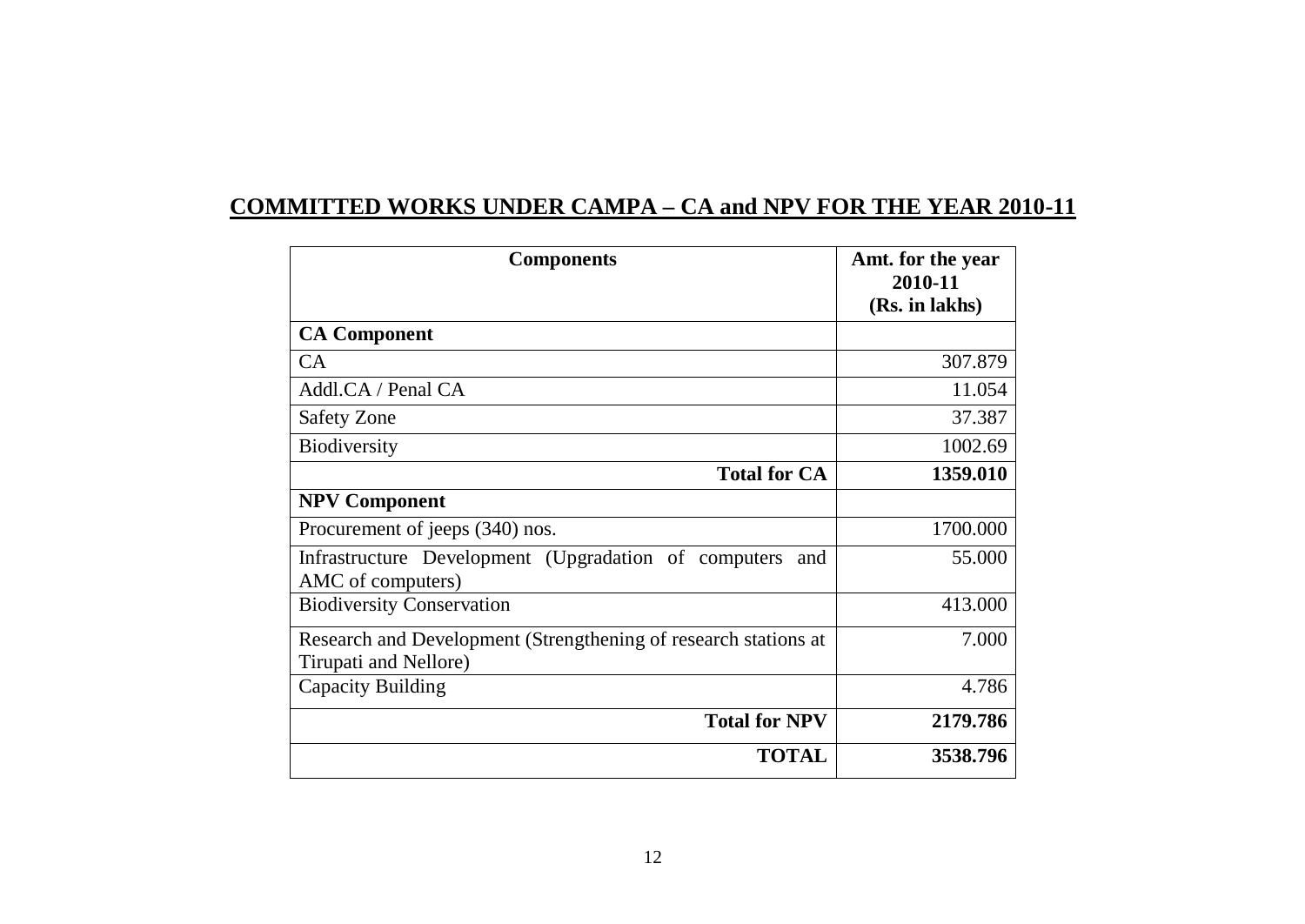# **COMMITTED WORKS UNDER CAMPA – CA and NPV FOR THE YEAR 2010-11**

| <b>Components</b>                                                                        | Amt. for the year<br>2010-11 |
|------------------------------------------------------------------------------------------|------------------------------|
|                                                                                          | (Rs. in lakhs)               |
| <b>CA Component</b>                                                                      |                              |
| CA                                                                                       | 307.879                      |
| Addl.CA / Penal CA                                                                       | 11.054                       |
| <b>Safety Zone</b>                                                                       | 37.387                       |
| <b>Biodiversity</b>                                                                      | 1002.69                      |
| <b>Total for CA</b>                                                                      | 1359.010                     |
| <b>NPV Component</b>                                                                     |                              |
| Procurement of jeeps (340) nos.                                                          | 1700.000                     |
| Infrastructure Development (Upgradation of computers<br>and<br>AMC of computers)         | 55.000                       |
| <b>Biodiversity Conservation</b>                                                         | 413.000                      |
| Research and Development (Strengthening of research stations at<br>Tirupati and Nellore) | 7.000                        |
| <b>Capacity Building</b>                                                                 | 4.786                        |
| <b>Total for NPV</b>                                                                     | 2179.786                     |
| <b>TOTAL</b>                                                                             | 3538.796                     |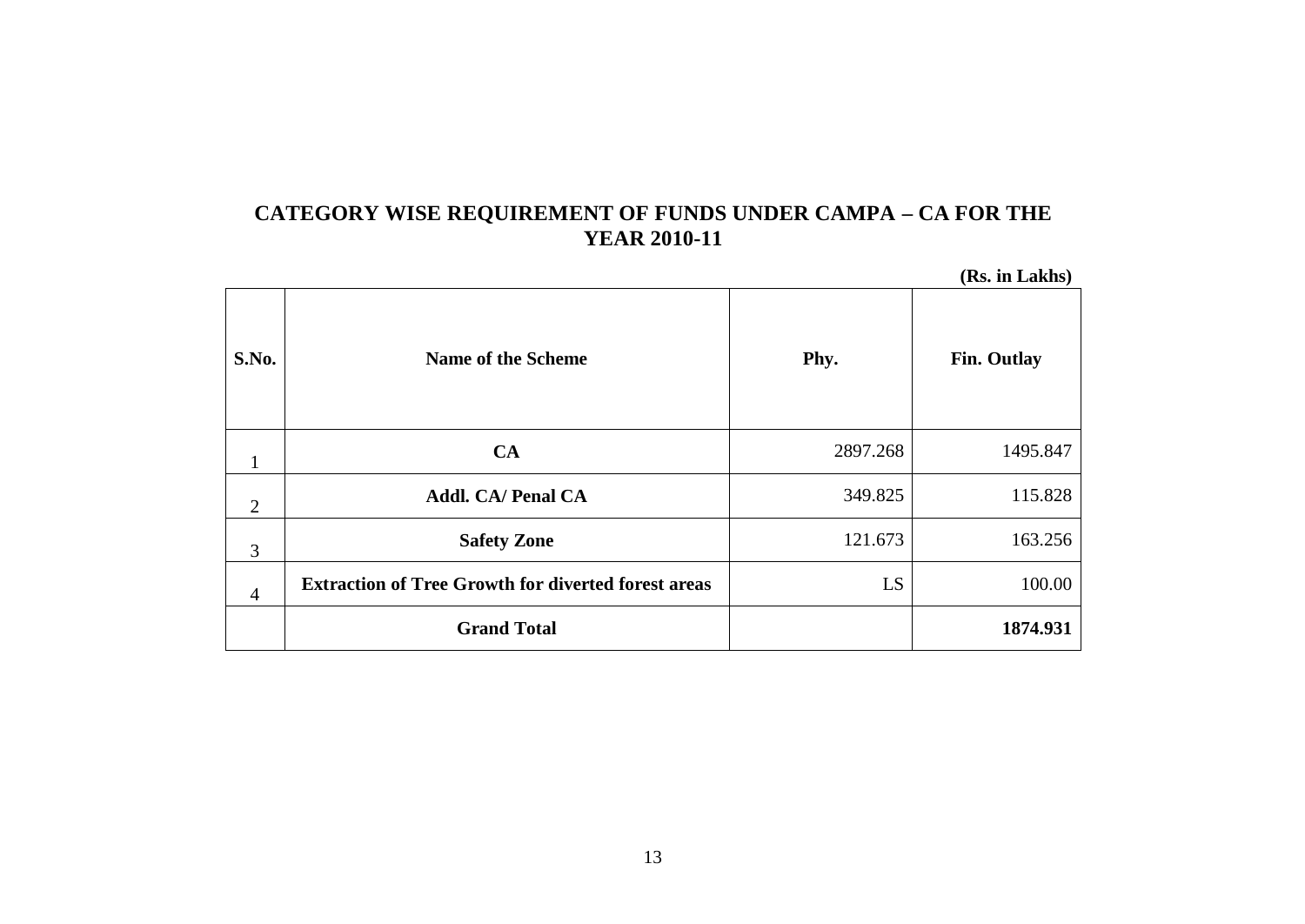## **CATEGORY WISE REQUIREMENT OF FUNDS UNDER CAMPA – CA FOR THE YEAR 2010-11**

|                |                                                            |          | (Rs. in Lakhs)     |
|----------------|------------------------------------------------------------|----------|--------------------|
| S.No.          | <b>Name of the Scheme</b>                                  | Phy.     | <b>Fin. Outlay</b> |
| 1              | <b>CA</b>                                                  | 2897.268 | 1495.847           |
| $\overline{2}$ | <b>Addl. CA/ Penal CA</b>                                  | 349.825  | 115.828            |
| 3              | <b>Safety Zone</b>                                         | 121.673  | 163.256            |
| $\overline{4}$ | <b>Extraction of Tree Growth for diverted forest areas</b> | LS       | 100.00             |
|                | <b>Grand Total</b>                                         |          | 1874.931           |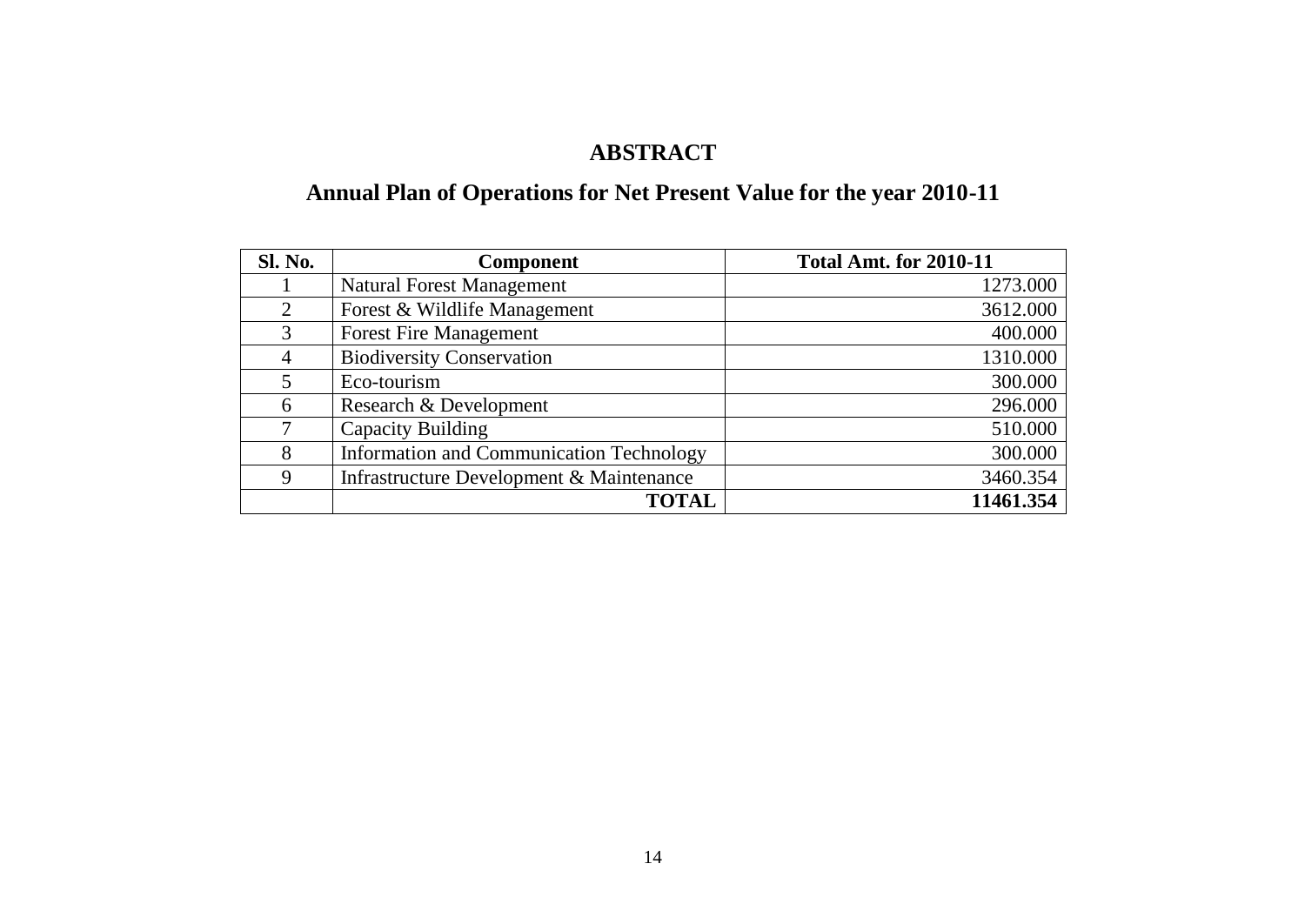# **ABSTRACT**

# **Annual Plan of Operations for Net Present Value for the year 2010-11**

| Sl. No.        | <b>Component</b>                                | Total Amt. for 2010-11 |
|----------------|-------------------------------------------------|------------------------|
|                | <b>Natural Forest Management</b>                | 1273.000               |
| 2              | Forest & Wildlife Management                    | 3612.000               |
| 3              | <b>Forest Fire Management</b>                   | 400.000                |
| $\overline{4}$ | <b>Biodiversity Conservation</b>                | 1310.000               |
| 5              | Eco-tourism                                     | 300.000                |
| 6              | Research & Development                          | 296.000                |
| 7              | Capacity Building                               | 510.000                |
| 8              | <b>Information and Communication Technology</b> | 300.000                |
| 9              | Infrastructure Development & Maintenance        | 3460.354               |
|                | <b>TOTAL</b>                                    | 11461.354              |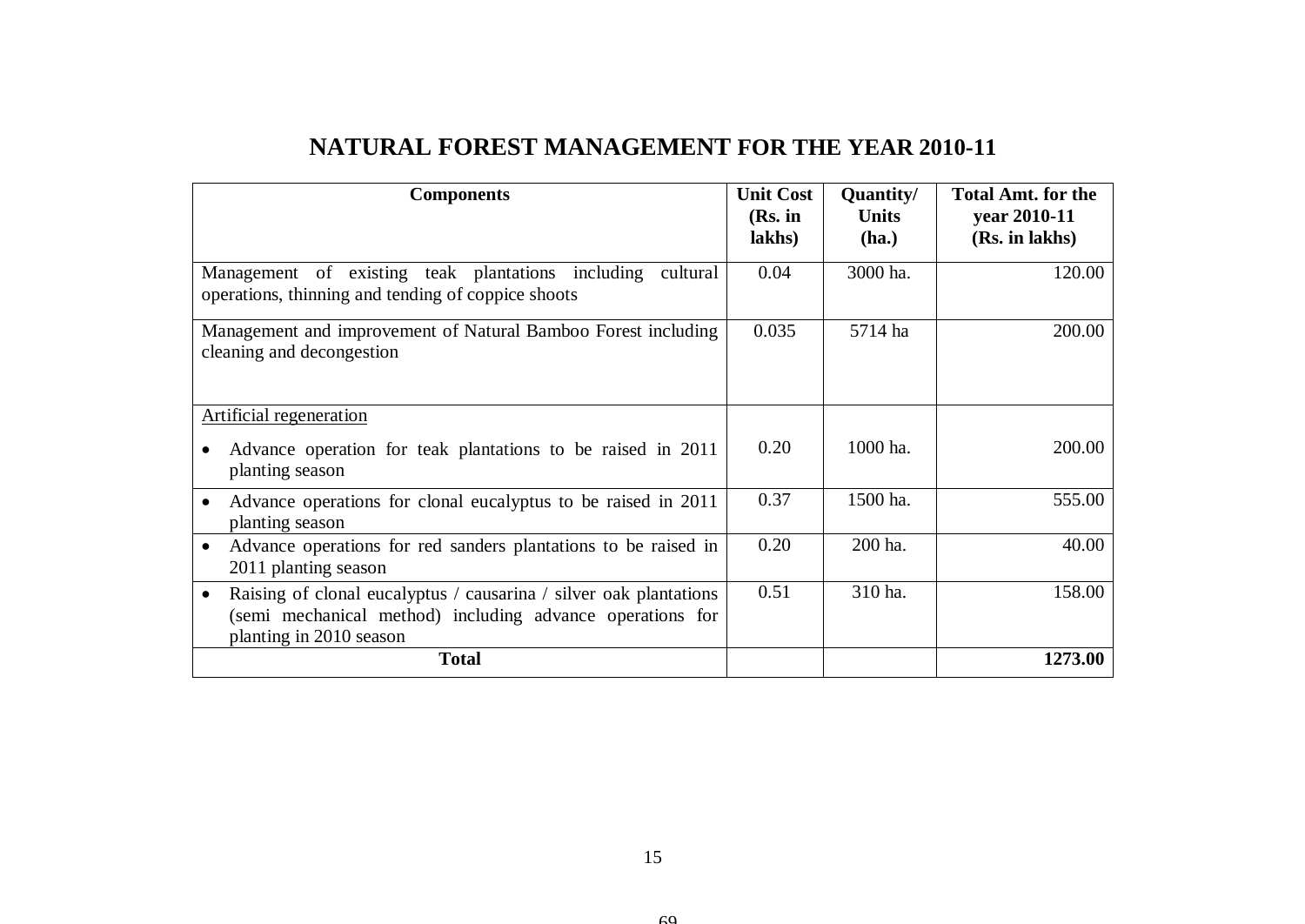|  |  |  |  | <b>NATURAL FOREST MANAGEMENT FOR THE YEAR 2010-11</b> |
|--|--|--|--|-------------------------------------------------------|
|--|--|--|--|-------------------------------------------------------|

| <b>Components</b>                                                                                                                                                      | <b>Unit Cost</b><br>$(Rs.$ in<br>lakhs) | Quantity/<br><b>Units</b><br>(ha.) | <b>Total Amt. for the</b><br>year 2010-11<br>(Rs. in lakhs) |
|------------------------------------------------------------------------------------------------------------------------------------------------------------------------|-----------------------------------------|------------------------------------|-------------------------------------------------------------|
| Management of existing teak plantations including<br>cultural<br>operations, thinning and tending of coppice shoots                                                    | 0.04                                    | 3000 ha.                           | 120.00                                                      |
| Management and improvement of Natural Bamboo Forest including<br>cleaning and decongestion                                                                             | 0.035                                   | 5714 ha                            | 200.00                                                      |
| Artificial regeneration                                                                                                                                                |                                         |                                    |                                                             |
| Advance operation for teak plantations to be raised in 2011<br>planting season                                                                                         | 0.20                                    | 1000 ha.                           | 200.00                                                      |
| Advance operations for clonal eucalyptus to be raised in 2011<br>planting season                                                                                       | 0.37                                    | 1500 ha.                           | 555.00                                                      |
| Advance operations for red sanders plantations to be raised in<br>2011 planting season                                                                                 | 0.20                                    | 200 ha.                            | 40.00                                                       |
| Raising of clonal eucalyptus / causarina / silver oak plantations<br>$\bullet$<br>(semi mechanical method) including advance operations for<br>planting in 2010 season | 0.51                                    | 310 ha.                            | 158.00                                                      |
| <b>Total</b>                                                                                                                                                           |                                         |                                    | 1273.00                                                     |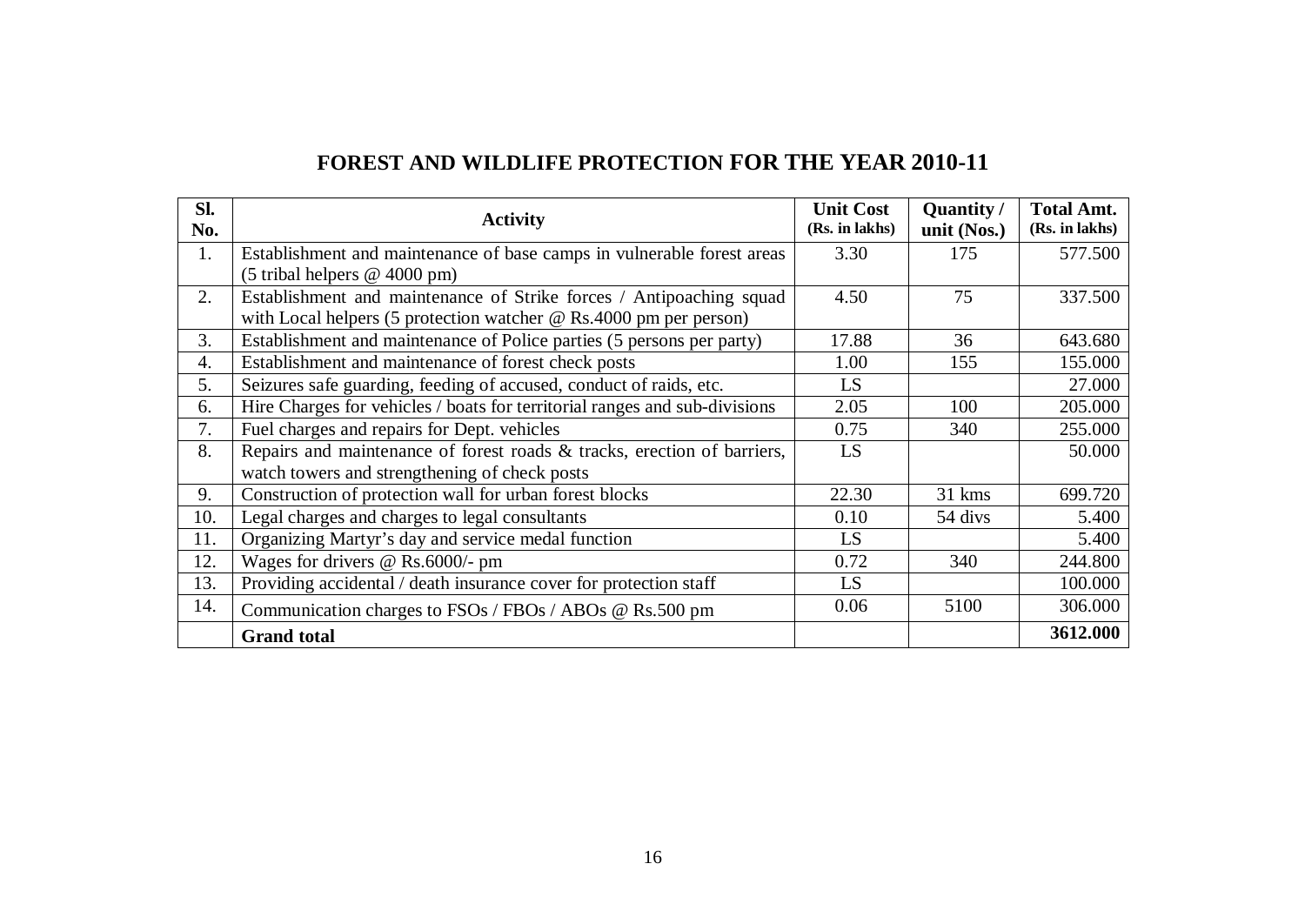## **FOREST AND WILDLIFE PROTECTION FOR THE YEAR 2010-11**

| SI.<br>No. | <b>Activity</b>                                                                                                                                        | <b>Unit Cost</b><br>(Rs. in lakhs) | Quantity /<br>unit $(Nos.)$ | <b>Total Amt.</b><br>(Rs. in lakhs) |
|------------|--------------------------------------------------------------------------------------------------------------------------------------------------------|------------------------------------|-----------------------------|-------------------------------------|
| 1.         | Establishment and maintenance of base camps in vulnerable forest areas<br>$(5 \text{ trials} \text{ helps } \textcircled{2} \text{ } 4000 \text{ pm})$ | 3.30                               | 175                         | 577.500                             |
| 2.         | Establishment and maintenance of Strike forces / Antipoaching squad<br>with Local helpers (5 protection watcher $@$ Rs.4000 pm per person)             | 4.50                               | 75                          | 337.500                             |
| 3.         | Establishment and maintenance of Police parties (5 persons per party)                                                                                  | 17.88                              | 36                          | 643.680                             |
| 4.         | Establishment and maintenance of forest check posts                                                                                                    | 1.00                               | 155                         | 155.000                             |
| 5.         | Seizures safe guarding, feeding of accused, conduct of raids, etc.                                                                                     | LS                                 |                             | 27.000                              |
| 6.         | Hire Charges for vehicles / boats for territorial ranges and sub-divisions                                                                             | 2.05                               | 100                         | 205.000                             |
| 7.         | Fuel charges and repairs for Dept. vehicles                                                                                                            | 0.75                               | 340                         | 255.000                             |
| 8.         | Repairs and maintenance of forest roads & tracks, erection of barriers,<br>watch towers and strengthening of check posts                               | LS                                 |                             | 50.000                              |
| 9.         | Construction of protection wall for urban forest blocks                                                                                                | 22.30                              | 31 kms                      | 699.720                             |
| 10.        | Legal charges and charges to legal consultants                                                                                                         | 0.10                               | 54 divs                     | 5.400                               |
| 11.        | Organizing Martyr's day and service medal function                                                                                                     | LS                                 |                             | 5.400                               |
| 12.        | Wages for drivers @ Rs.6000/- pm                                                                                                                       | 0.72                               | 340                         | 244.800                             |
| 13.        | Providing accidental / death insurance cover for protection staff                                                                                      | LS                                 |                             | 100.000                             |
| 14.        | Communication charges to FSOs / FBOs / ABOs @ Rs.500 pm                                                                                                | 0.06                               | 5100                        | 306.000                             |
|            | <b>Grand</b> total                                                                                                                                     |                                    |                             | 3612.000                            |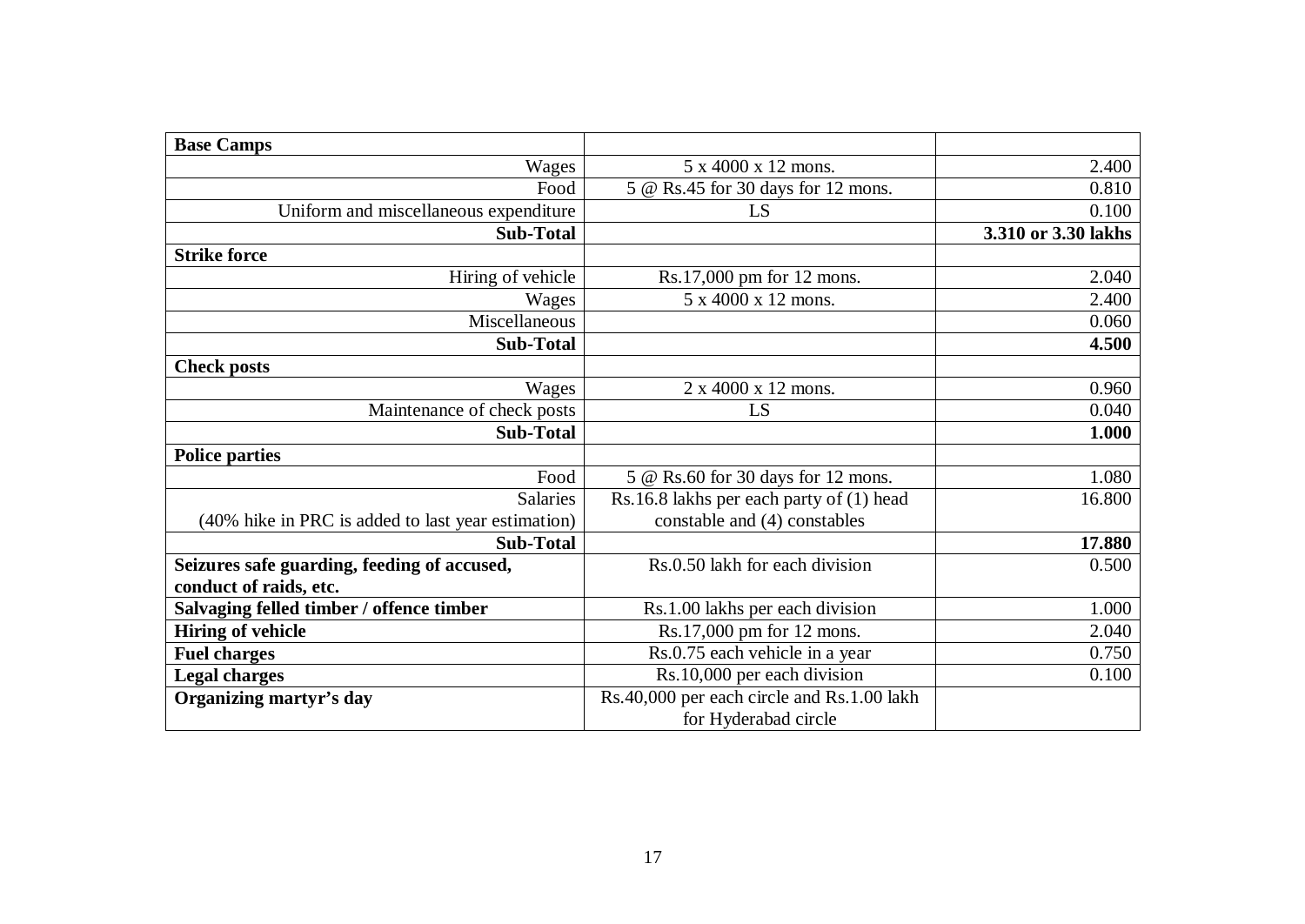| <b>Base Camps</b>                                  |                                            |                     |
|----------------------------------------------------|--------------------------------------------|---------------------|
| Wages                                              | 5 x 4000 x 12 mons.                        | 2.400               |
| Food                                               | 5 @ Rs.45 for 30 days for 12 mons.         | 0.810               |
| Uniform and miscellaneous expenditure              | LS                                         | 0.100               |
| <b>Sub-Total</b>                                   |                                            | 3.310 or 3.30 lakhs |
| <b>Strike force</b>                                |                                            |                     |
| Hiring of vehicle                                  | Rs.17,000 pm for 12 mons.                  | 2.040               |
| Wages                                              | 5 x 4000 x 12 mons.                        | 2.400               |
| Miscellaneous                                      |                                            | 0.060               |
| <b>Sub-Total</b>                                   |                                            | 4.500               |
| <b>Check posts</b>                                 |                                            |                     |
| Wages                                              | 2 x 4000 x 12 mons.                        | 0.960               |
| Maintenance of check posts                         | LS                                         | 0.040               |
| <b>Sub-Total</b>                                   |                                            | 1.000               |
| <b>Police parties</b>                              |                                            |                     |
| Food                                               | 5 @ Rs.60 for 30 days for 12 mons.         | 1.080               |
| <b>Salaries</b>                                    | Rs.16.8 lakhs per each party of (1) head   | 16.800              |
| (40% hike in PRC is added to last year estimation) | constable and (4) constables               |                     |
| <b>Sub-Total</b>                                   |                                            | 17.880              |
| Seizures safe guarding, feeding of accused,        | Rs.0.50 lakh for each division             | 0.500               |
| conduct of raids, etc.                             |                                            |                     |
| Salvaging felled timber / offence timber           | Rs.1.00 lakhs per each division            | 1.000               |
| <b>Hiring of vehicle</b>                           | Rs.17,000 pm for 12 mons.                  | 2.040               |
| <b>Fuel charges</b>                                | Rs.0.75 each vehicle in a year             | 0.750               |
| <b>Legal charges</b>                               | Rs.10,000 per each division                | 0.100               |
| Organizing martyr's day                            | Rs.40,000 per each circle and Rs.1.00 lakh |                     |
|                                                    | for Hyderabad circle                       |                     |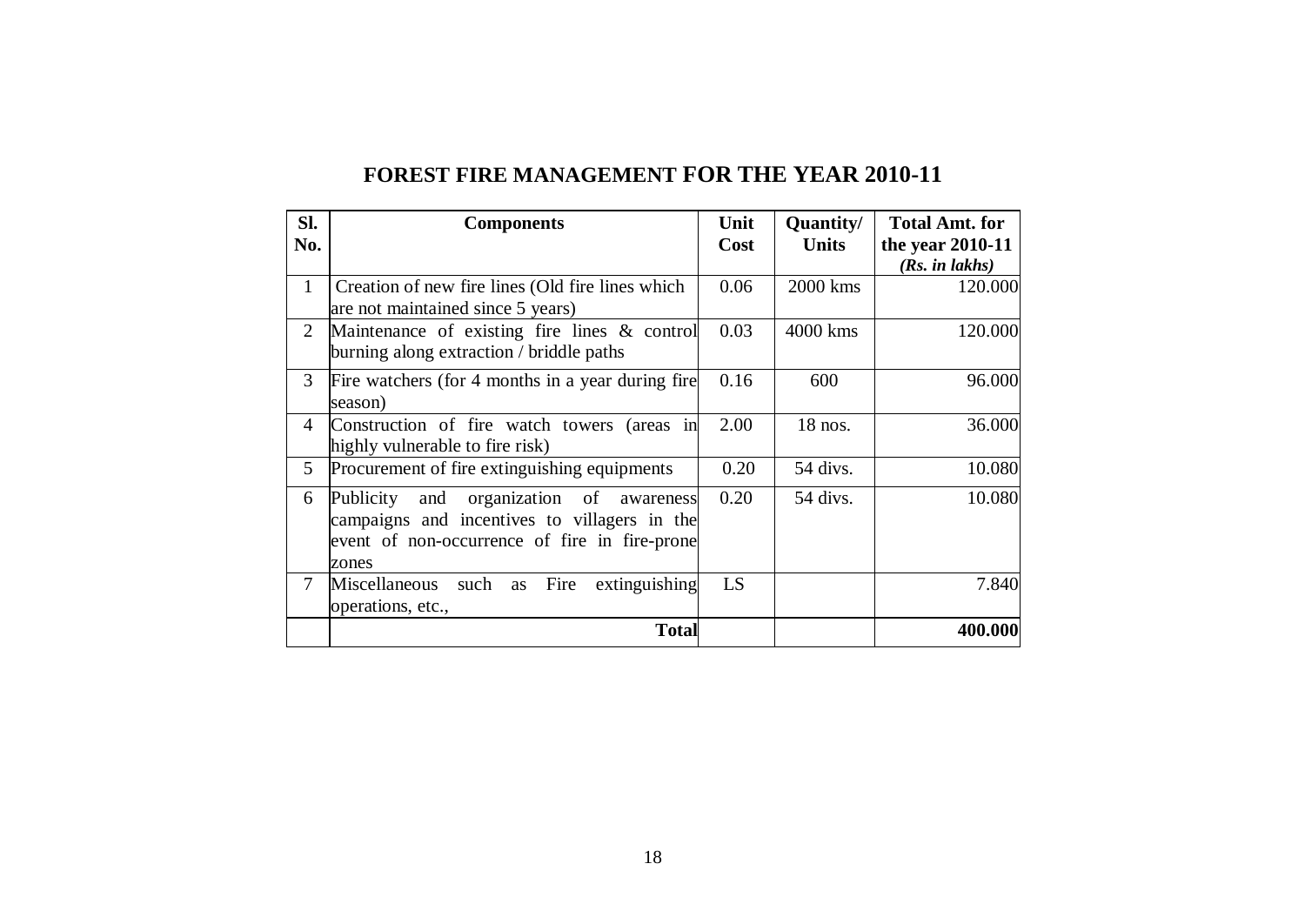| <b>FOREST FIRE MANAGEMENT FOR THE YEAR 2010-11</b> |  |
|----------------------------------------------------|--|
|----------------------------------------------------|--|

| SI.<br>No.     | <b>Components</b>                                                                                                                                       | Unit<br>Cost | Quantity/<br><b>Units</b> | <b>Total Amt. for</b><br>the year 2010-11<br>(Rs. in lakhs) |
|----------------|---------------------------------------------------------------------------------------------------------------------------------------------------------|--------------|---------------------------|-------------------------------------------------------------|
| $\mathbf{1}$   | Creation of new fire lines (Old fire lines which<br>are not maintained since 5 years)                                                                   | 0.06         | 2000 kms                  | 120.000                                                     |
| $\overline{2}$ | Maintenance of existing fire lines & control<br>burning along extraction / briddle paths                                                                | 0.03         | 4000 kms                  | 120.000                                                     |
| 3              | Fire watchers (for 4 months in a year during fire<br>season)                                                                                            | 0.16         | 600                       | 96.000                                                      |
| 4              | Construction of fire watch towers (areas in<br>highly vulnerable to fire risk)                                                                          | 2.00         | 18 nos.                   | 36.000                                                      |
| 5 <sup>5</sup> | Procurement of fire extinguishing equipments                                                                                                            | 0.20         | 54 divs.                  | 10.080                                                      |
| 6              | organization of awareness<br>Publicity<br>and<br>campaigns and incentives to villagers in the<br>event of non-occurrence of fire in fire-prone<br>zones | 0.20         | 54 divs.                  | 10.080                                                      |
| $\overline{7}$ | Fire<br>extinguishing<br>Miscellaneous<br>such as<br>operations, etc.,                                                                                  | LS           |                           | 7.840                                                       |
|                | <b>Total</b>                                                                                                                                            |              |                           | 400.000                                                     |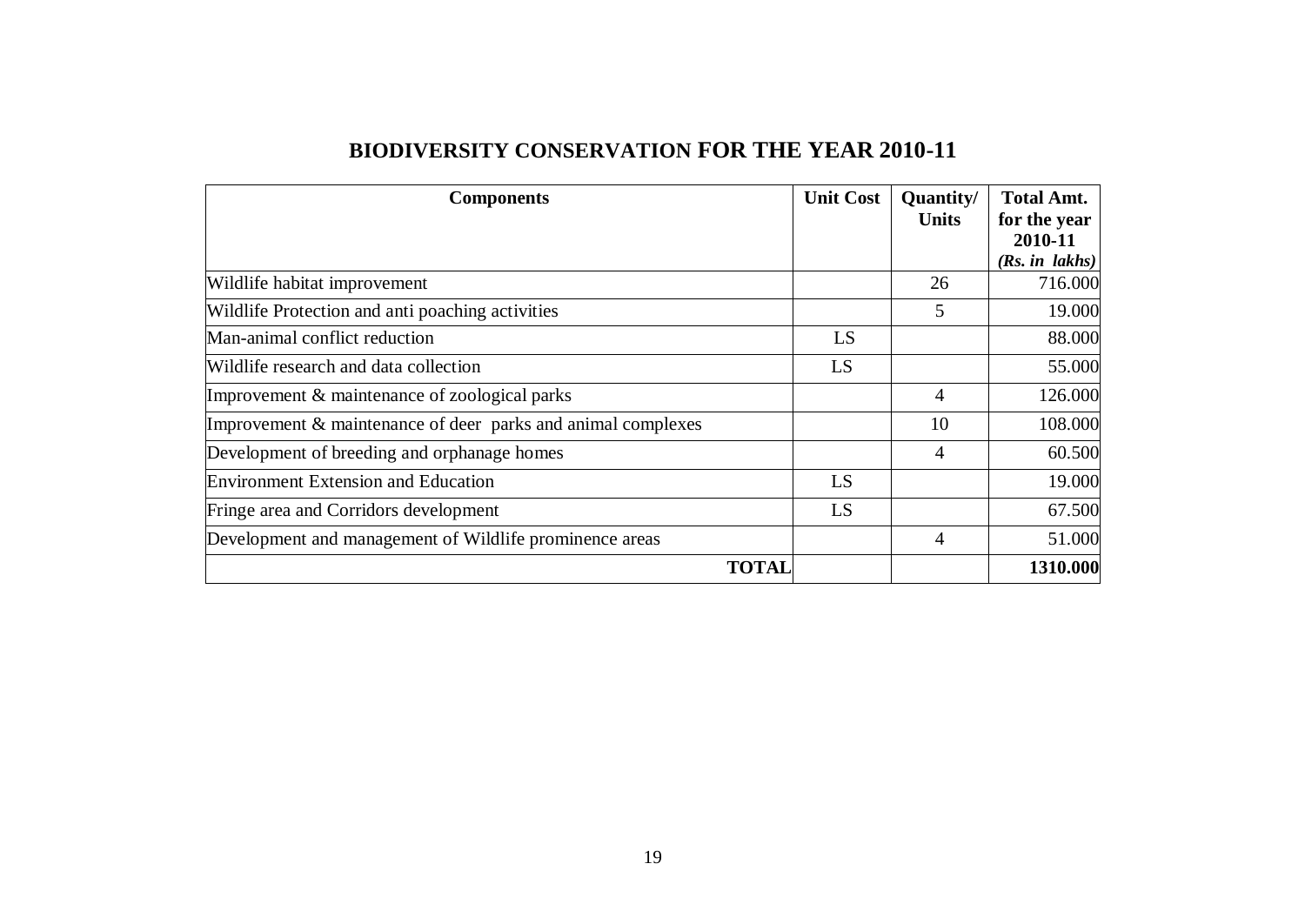| <b>Components</b>                                            | <b>Unit Cost</b> | Quantity/<br><b>Units</b> | <b>Total Amt.</b><br>for the year<br>2010-11 |
|--------------------------------------------------------------|------------------|---------------------------|----------------------------------------------|
| Wildlife habitat improvement                                 |                  | 26                        | (Rs. in lakhs)<br>716.000                    |
| Wildlife Protection and anti poaching activities             |                  | 5                         | 19.000                                       |
| Man-animal conflict reduction                                | LS               |                           | 88.000                                       |
| Wildlife research and data collection                        | LS               |                           | 55.000                                       |
| Improvement & maintenance of zoological parks                |                  | 4                         | 126.000                                      |
| Improvement & maintenance of deer parks and animal complexes |                  | 10                        | 108.000                                      |
| Development of breeding and orphanage homes                  |                  | 4                         | 60.500                                       |
| Environment Extension and Education                          | LS               |                           | 19.000                                       |
| Fringe area and Corridors development                        | LS               |                           | 67.500                                       |
| Development and management of Wildlife prominence areas      |                  | 4                         | 51.000                                       |
| <b>TOTAL</b>                                                 |                  |                           | 1310.000                                     |

## **BIODIVERSITY CONSERVATION FOR THE YEAR 2010-11**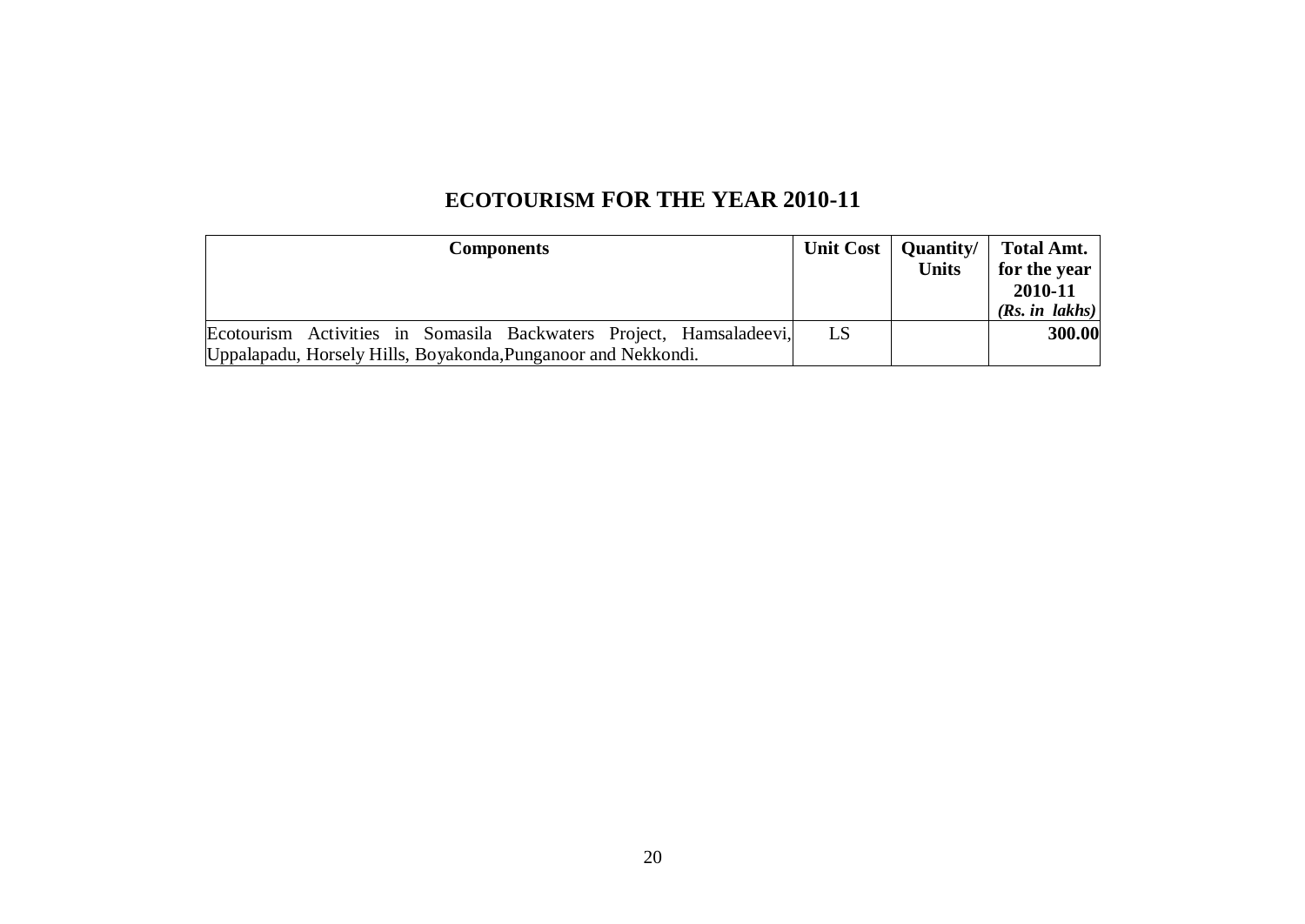## **ECOTOURISM FOR THE YEAR 2010-11**

| <b>Components</b>                                                   |    | Unit Cost   Quantity | <b>Total Amt.</b> |
|---------------------------------------------------------------------|----|----------------------|-------------------|
|                                                                     |    | <b>Units</b>         | for the year      |
|                                                                     |    |                      | 2010-11           |
|                                                                     |    |                      | (Rs. in lakhs)    |
| Ecotourism Activities in Somasila Backwaters Project, Hamsaladeevi, | LS |                      | 300.00            |
| Uppalapadu, Horsely Hills, Boyakonda, Punganoor and Nekkondi.       |    |                      |                   |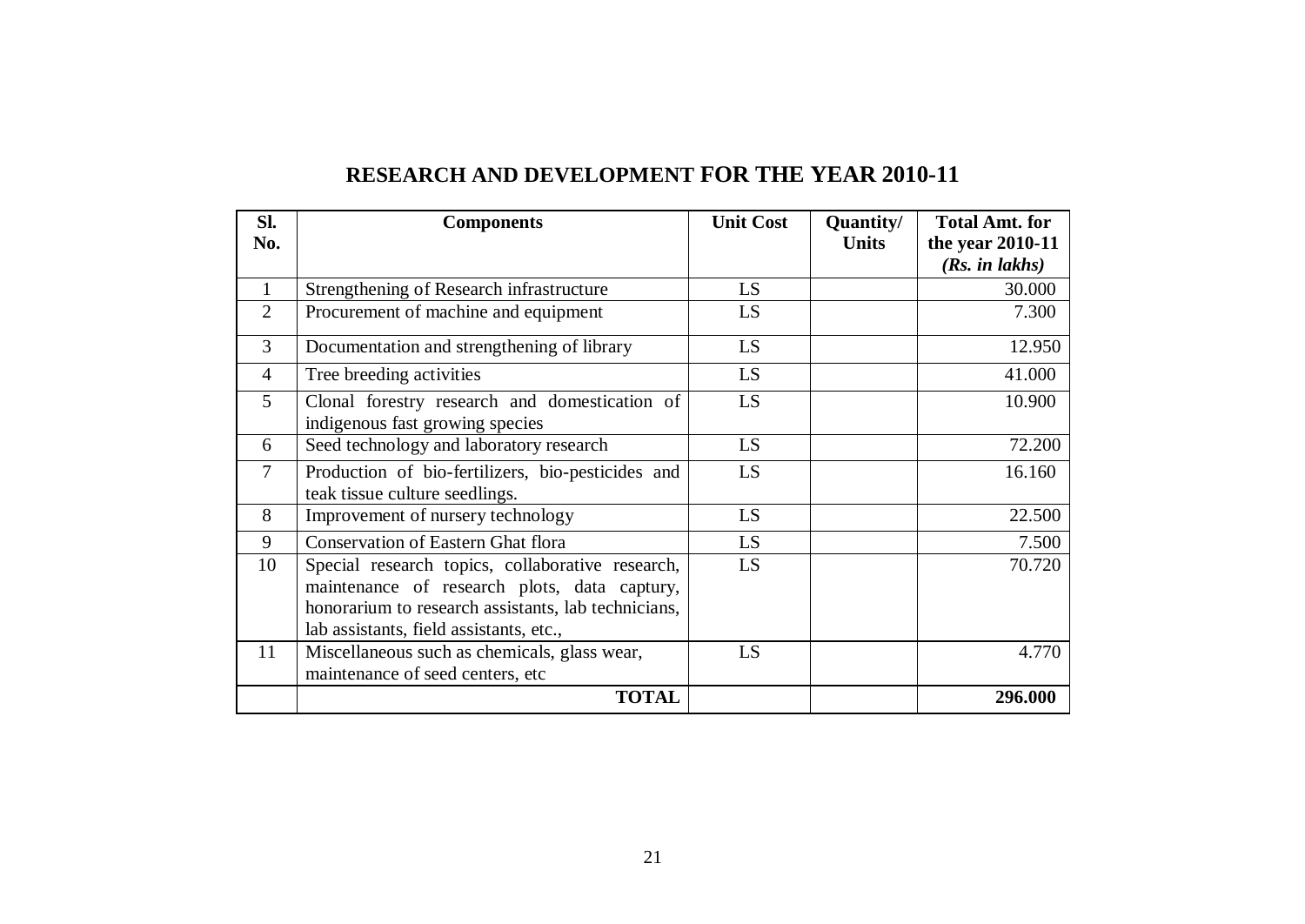| Sl.            | <b>Components</b>                                                                                                                                                                                  | <b>Unit Cost</b> | Quantity/    | <b>Total Amt. for</b> |
|----------------|----------------------------------------------------------------------------------------------------------------------------------------------------------------------------------------------------|------------------|--------------|-----------------------|
| No.            |                                                                                                                                                                                                    |                  | <b>Units</b> | the year 2010-11      |
|                |                                                                                                                                                                                                    |                  |              | (Rs. in lakhs)        |
| 1              | Strengthening of Research infrastructure                                                                                                                                                           | LS               |              | 30.000                |
| $\overline{2}$ | Procurement of machine and equipment                                                                                                                                                               | LS               |              | 7.300                 |
| 3              | Documentation and strengthening of library                                                                                                                                                         | LS               |              | 12.950                |
| 4              | Tree breeding activities                                                                                                                                                                           | LS               |              | 41.000                |
| $\mathfrak{S}$ | Clonal forestry research and domestication of<br>indigenous fast growing species                                                                                                                   | LS               |              | 10.900                |
| 6              | Seed technology and laboratory research                                                                                                                                                            | LS               |              | 72.200                |
| $\overline{7}$ | Production of bio-fertilizers, bio-pesticides and<br>teak tissue culture seedlings.                                                                                                                | LS               |              | 16.160                |
| 8              | Improvement of nursery technology                                                                                                                                                                  | LS               |              | 22.500                |
| 9              | <b>Conservation of Eastern Ghat flora</b>                                                                                                                                                          | LS.              |              | 7.500                 |
| 10             | Special research topics, collaborative research,<br>maintenance of research plots, data captury,<br>honorarium to research assistants, lab technicians,<br>lab assistants, field assistants, etc., | LS               |              | 70.720                |
| 11             | Miscellaneous such as chemicals, glass wear,<br>maintenance of seed centers, etc                                                                                                                   | LS               |              | 4.770                 |
|                | <b>TOTAL</b>                                                                                                                                                                                       |                  |              | 296.000               |

# **RESEARCH AND DEVELOPMENT FOR THE YEAR 2010-11**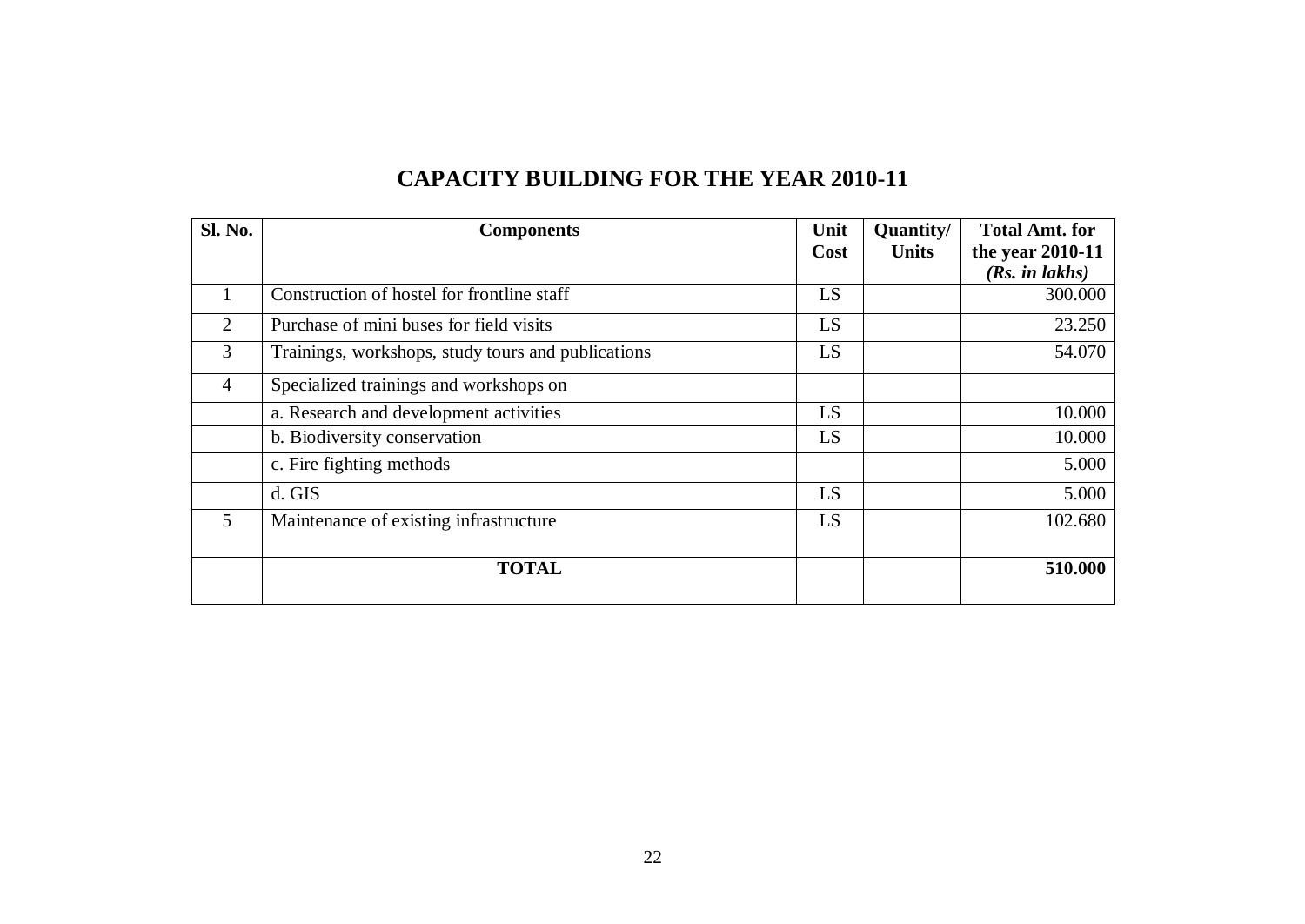## **CAPACITY BUILDING FOR THE YEAR 2010-11**

| Sl. No.        | <b>Components</b>                                  | Unit | Quantity/    | <b>Total Amt. for</b> |
|----------------|----------------------------------------------------|------|--------------|-----------------------|
|                |                                                    | Cost | <b>Units</b> | the year 2010-11      |
|                |                                                    |      |              | (Rs. in lakhs)        |
|                | Construction of hostel for frontline staff         | LS   |              | 300.000               |
| 2              | Purchase of mini buses for field visits            | LS   |              | 23.250                |
| 3              | Trainings, workshops, study tours and publications | LS   |              | 54.070                |
| $\overline{4}$ | Specialized trainings and workshops on             |      |              |                       |
|                | a. Research and development activities             | LS   |              | 10.000                |
|                | b. Biodiversity conservation                       | LS   |              | 10.000                |
|                | c. Fire fighting methods                           |      |              | 5.000                 |
|                | d. GIS                                             | LS   |              | 5.000                 |
| 5              | Maintenance of existing infrastructure             | LS   |              | 102.680               |
|                | <b>TOTAL</b>                                       |      |              | 510.000               |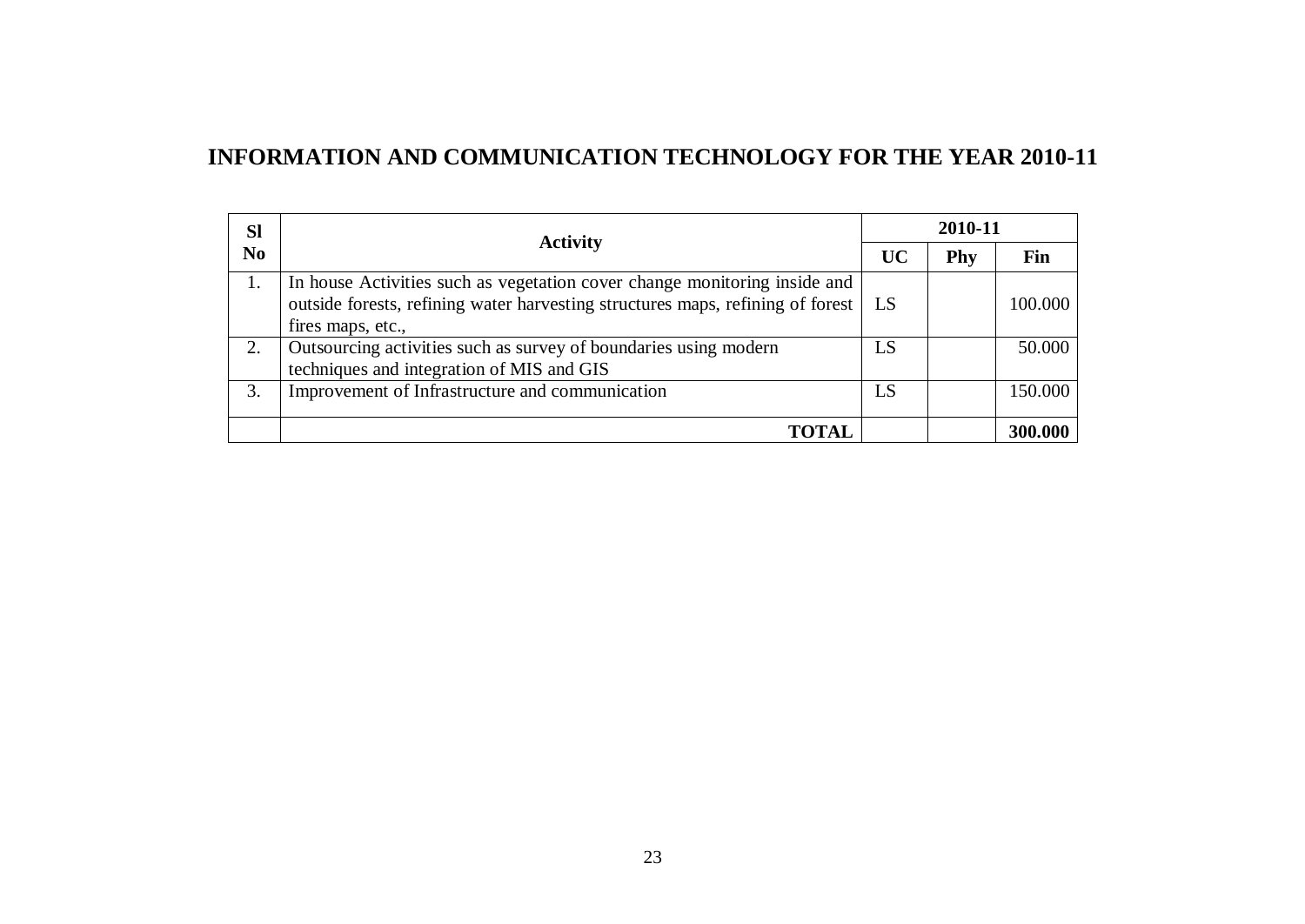# **INFORMATION AND COMMUNICATION TECHNOLOGY FOR THE YEAR 2010-11**

| <b>Sl</b><br>N <sub>0</sub> | <b>Activity</b>                                                                                                                                                                  | 2010-11         |     |         |
|-----------------------------|----------------------------------------------------------------------------------------------------------------------------------------------------------------------------------|-----------------|-----|---------|
|                             |                                                                                                                                                                                  | <b>UC</b>       | Phy | Fin     |
| 1.                          | In house Activities such as vegetation cover change monitoring inside and<br>outside forests, refining water harvesting structures maps, refining of forest<br>fires maps, etc., | LS <sub>1</sub> |     | 100.000 |
| 2.                          | Outsourcing activities such as survey of boundaries using modern<br>techniques and integration of MIS and GIS                                                                    | LS              |     | 50.000  |
| 3.                          | Improvement of Infrastructure and communication                                                                                                                                  | LS              |     | 150.000 |
|                             | <b>TOTAL</b>                                                                                                                                                                     |                 |     | 300.000 |